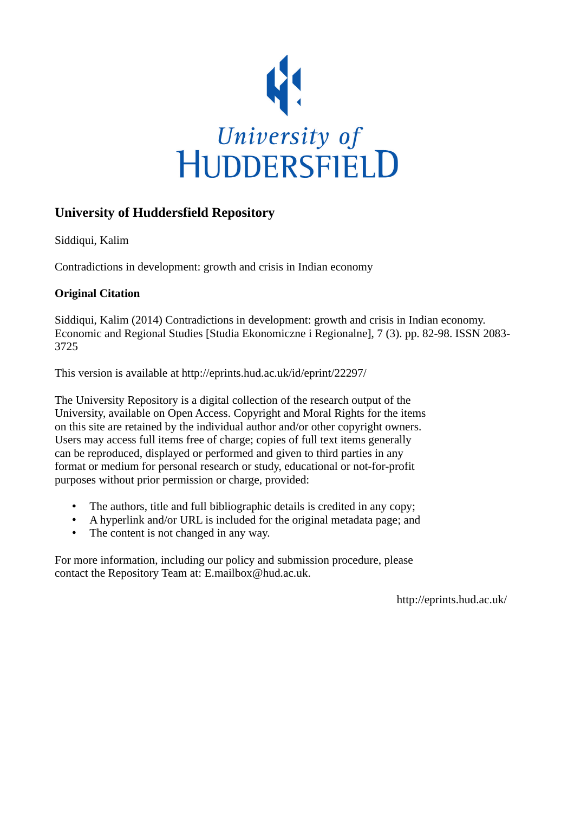

# **University of Huddersfield Repository**

Siddiqui, Kalim

Contradictions in development: growth and crisis in Indian economy

# **Original Citation**

Siddiqui, Kalim (2014) Contradictions in development: growth and crisis in Indian economy. Economic and Regional Studies [Studia Ekonomiczne i Regionalne], 7 (3). pp. 82-98. ISSN 2083- 3725

This version is available at http://eprints.hud.ac.uk/id/eprint/22297/

The University Repository is a digital collection of the research output of the University, available on Open Access. Copyright and Moral Rights for the items on this site are retained by the individual author and/or other copyright owners. Users may access full items free of charge; copies of full text items generally can be reproduced, displayed or performed and given to third parties in any format or medium for personal research or study, educational or not-for-profit purposes without prior permission or charge, provided:

- The authors, title and full bibliographic details is credited in any copy;
- A hyperlink and/or URL is included for the original metadata page; and
- The content is not changed in any way.

For more information, including our policy and submission procedure, please contact the Repository Team at: E.mailbox@hud.ac.uk.

http://eprints.hud.ac.uk/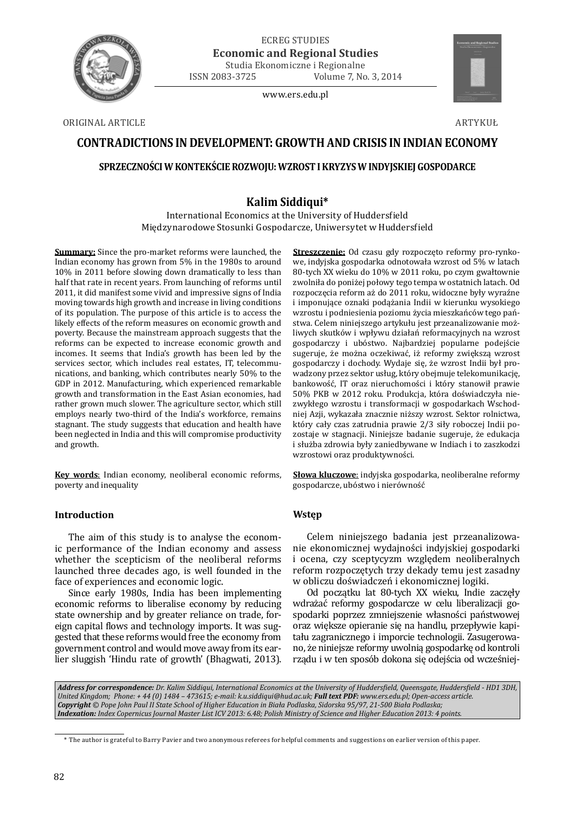

ECREG STUDIES **Economic and Regional Studies** Studia Ekonomiczne i Regionalne

ISSN 2083-3725 Volume 7, No. 3, 2014

www.ers.edu.pl



ORIGINAL ARTICLE ARTYKUŁ

# **CONTRADICTIONS IN DEVELOPMENT: GROWTH AND CRISIS IN INDIAN ECONOMY**

# **SPRZECZNOŚCI W KONTEKŚCIE ROZWOJU: WZROST I KRYZYS W INDYJSKIEJ GOSPODARCE**

# **Kalim Siddiqui\***

International Economics at the University of Huddersfield Międzynarodowe Stosunki Gospodarcze, Uniwersytet w Huddersfield

**Summary:** Since the pro-market reforms were launched, the Indian economy has grown from 5% in the 1980s to around 10% in 2011 before slowing down dramatically to less than half that rate in recent years. From launching of reforms until 2011, it did manifest some vivid and impressive signs of India moving towards high growth and increase in living conditions of its population. The purpose of this article is to access the likely effects of the reform measures on economic growth and poverty. Because the mainstream approach suggests that the reforms can be expected to increase economic growth and incomes. It seems that India's growth has been led by the services sector, which includes real estates, IT, telecommunications, and banking, which contributes nearly 50% to the GDP in 2012. Manufacturing, which experienced remarkable growth and transformation in the East Asian economies, had rather grown much slower. The agriculture sector, which still employs nearly two-third of the India's workforce, remains stagnant. The study suggests that education and health have been neglected in India and this will compromise productivity and growth.

**Key words**: Indian economy, neoliberal economic reforms, poverty and inequality

# **Introduction**

The aim of this study is to analyse the economic performance of the Indian economy and assess whether the scepticism of the neoliberal reforms launched three decades ago, is well founded in the face of experiences and economic logic.

Since early 1980s, India has been implementing economic reforms to liberalise economy by reducing state ownership and by greater reliance on trade, foreign capital flows and technology imports. It was suggested that these reforms would free the economy from government control and would move away from its earlier sluggish 'Hindu rate of growth' (Bhagwati, 2013).

**Streszczenie:** Od czasu gdy rozpoczęto reformy pro-rynkowe, indyjska gospodarka odnotowała wzrost od 5% w latach 80-tych XX wieku do 10% w 2011 roku, po czym gwałtownie zwolniła do poniżej połowy tego tempa w ostatnich latach. Od rozpoczęcia reform aż do 2011 roku, widoczne były wyraźne i imponujące oznaki podążania Indii w kierunku wysokiego wzrostu i podniesienia poziomu życia mieszkańców tego państwa. Celem niniejszego artykułu jest przeanalizowanie możliwych skutków i wpływu działań reformacyjnych na wzrost gospodarczy i ubóstwo. Najbardziej popularne podejście sugeruje, że można oczekiwać, iż reformy zwiększą wzrost gospodarczy i dochody. Wydaje się, że wzrost Indii był prowadzony przez sektor usług, który obejmuje telekomunikację, bankowość, IT oraz nieruchomości i który stanowił prawie 50% PKB w 2012 roku. Produkcja, która doświadczyła niezwykłego wzrostu i transformacji w gospodarkach Wschodniej Azji, wykazała znacznie niższy wzrost. Sektor rolnictwa, który cały czas zatrudnia prawie 2/3 siły roboczej Indii pozostaje w stagnacji. Niniejsze badanie sugeruje, że edukacja i służba zdrowia były zaniedbywane w Indiach i to zaszkodzi wzrostowi oraz produktywności.

**Słowa kluczowe**: indyjska gospodarka, neoliberalne reformy gospodarcze, ubóstwo i nierówność

# **Wstęp**

Celem niniejszego badania jest przeanalizowanie ekonomicznej wydajności indyjskiej gospodarki i ocena, czy sceptycyzm względem neoliberalnych reform rozpoczętych trzy dekady temu jest zasadny w obliczu doświadczeń i ekonomicznej logiki.

Od początku lat 80-tych XX wieku, Indie zaczęły wdrażać reformy gospodarcze w celu liberalizacji gospodarki poprzez zmniejszenie własności państwowej oraz większe opieranie się na handlu, przepływie kapitału zagranicznego i imporcie technologii. Zasugerowano, że niniejsze reformy uwolnią gospodarkę od kontroli rządu i w ten sposób dokona się odejścia od wcześniej-

*Address for correspondence: Dr. Kalim Siddiqui, International Economics at the University of Huddersϔield, Queensgate, Huddersϔield - HD1 3DH, United Kingdom; Phone: + 44 (0) 1484 – 473615; e-mail: k.u.siddiqui@hud.ac.uk; Full text PDF: www.ers.edu.pl; Open-access article. Copyright © Pope John Paul II State School of Higher Education in Biała Podlaska, Sidorska 95/97, 21-500 Biała Podlaska; Indexation: Index Copernicus Journal Master List ICV 2013: 6.48; Polish Ministry of Science and Higher Education 2013: 4 points.* 

<sup>1</sup> \* The author is grateful to Barry Pavier and two anonymous referees for helpful comments and suggestions on earlier version of this paper.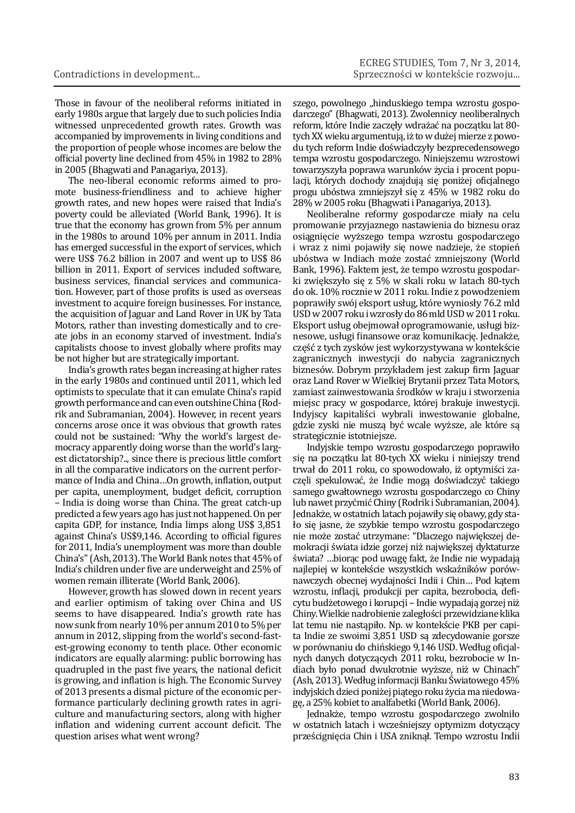Those in favour of the neoliberal reforms initiated in early 1980s argue that largely due to such policies India witnessed unprecedented growth rates. Growth was accompanied by improvements in living conditions and the proportion of people whose incomes are below the official poverty line declined from 45% in 1982 to 28% in 2005 (Bhagwati and Panagariya, 2013).

The neo-liberal economic reforms aimed to promote business-friendliness and to achieve higher growth rates, and new hopes were raised that India's poverty could be alleviated (World Bank, 1996). It is true that the economy has grown from 5% per annum in the 1980s to around 10% per annum in 2011. India has emerged successful in the export of services, which were US\$ 76.2 billion in 2007 and went up to US\$ 86 billion in 2011. Export of services included software, business services, financial services and communication. However, part of those profits is used as overseas investment to acquire foreign businesses. For instance, the acquisition of Jaguar and Land Rover in UK by Tata Motors, rather than investing domestically and to create jobs in an economy starved of investment. India's capitalists choose to invest globally where profits may be not higher but are strategically important.

India's growth rates began increasing at higher rates in the early 1980s and continued until 2011, which led optimists to speculate that it can emulate China's rapid growth performance and can even outshine China (Rodrik and Subramanian, 2004). However, in recent years concerns arose once it was obvious that growth rates could not be sustained: "Why the world's largest democracy apparently doing worse than the world's largest dictatorship?.., since there is precious little comfort in all the comparative indicators on the current performance of India and China...On growth, inflation, output per capita, unemployment, budget deficit, corruption – India is doing worse than China. The great catch-up predicted a few years ago has just not happened. On per capita GDP, for instance, India limps along US\$ 3,851 against China's US\$9,146. According to official figures for 2011, India's unemployment was more than double China's" (Ash, 2013). The World Bank notes that 45% of India's children under five are underweight and 25% of women remain illiterate (World Bank, 2006).

However, growth has slowed down in recent years and earlier optimism of taking over China and US seems to have disappeared. India's growth rate has now sunk from nearly 10% per annum 2010 to 5% per annum in 2012, slipping from the world's second-fastest-growing economy to tenth place. Other economic indicators are equally alarming: public borrowing has quadrupled in the past five years, the national deficit is growing, and inflation is high. The Economic Survey of 2013 presents a dismal picture of the economic performance particularly declining growth rates in agriculture and manufacturing sectors, along with higher inflation and widening current account deficit. The question arises what went wrong?

szego, powolnego "hinduskiego tempa wzrostu gospodarczego" (Bhagwati, 2013). Zwolennicy neoliberalnych reform, które Indie zaczęły wdrażać na początku lat 80 tych XX wieku argumentują, iż to w dużej mierze z powodu tych reform Indie doświadczyły bezprecedensowego tempa wzrostu gospodarczego. Niniejszemu wzrostowi towarzyszyła poprawa warunków życia i procent populacji, których dochody znajdują się poniżej oficjalnego progu ubóstwa zmniejszył się z 45% w 1982 roku do 28% w 2005 roku (Bhagwati i Panagariya, 2013).

Neoliberalne reformy gospodarcze miały na celu promowanie przyjaznego nastawienia do biznesu oraz osiągnięcie wyższego tempa wzrostu gospodarczego i wraz z nimi pojawiły się nowe nadzieje, że stopień ubóstwa w Indiach może zostać zmniejszony (World Bank, 1996). Faktem jest, że tempo wzrostu gospodarki zwiększyło się z 5% w skali roku w latach 80-tych do ok. 10% rocznie w 2011 roku. Indie z powodzeniem poprawiły swój eksport usług, które wyniosły 76.2 mld USD w 2007 roku i wzrosły do 86 mld USD w 2011 roku. Eksport usług obejmował oprogramowanie, usługi biznesowe, usługi finansowe oraz komunikację. Jednakże, część z tych zysków jest wykorzystywana w kontekście zagranicznych inwestycji do nabycia zagranicznych biznesów. Dobrym przykładem jest zakup firm Jaguar oraz Land Rover w Wielkiej Brytanii przez Tata Motors, zamiast zainwestowania środków w kraju i stworzenia miejsc pracy w gospodarce, której brakuje inwestycji. Indyjscy kapitaliści wybrali inwestowanie globalne, gdzie zyski nie muszą być wcale wyższe, ale które są strategicznie istotniejsze.

Indyjskie tempo wzrostu gospodarczego poprawiło się na początku lat 80-tych XX wieku i niniejszy trend trwał do 2011 roku, co spowodowało, iż optymiści zaczęli spekulować, że Indie mogą doświadczyć takiego samego gwałtownego wzrostu gospodarczego co Chiny lub nawet przyćmić Chiny (Rodrik i Subramanian, 2004). Jednakże, w ostatnich latach pojawiły się obawy, gdy stało się jasne, że szybkie tempo wzrostu gospodarczego nie może zostać utrzymane: "Dlaczego największej demokracji świata idzie gorzej niż największej dyktaturze świata? …biorąc pod uwagę fakt, że Indie nie wypadają najlepiej w kontekście wszystkich wskaźników porównawczych obecnej wydajności Indii i Chin… Pod kątem wzrostu, inflacji, produkcji per capita, bezrobocia, deficytu budżetowego i korupcji – Indie wypadają gorzej niż Chiny. Wielkie nadrobienie zaległości przewidziane klika lat temu nie nastąpiło. Np. w kontekście PKB per capita Indie ze swoimi 3,851 USD są zdecydowanie gorsze w porównaniu do chińskiego 9,146 USD. Według oficjalnych danych dotyczących 2011 roku, bezrobocie w Indiach było ponad dwukrotnie wyższe, niż w Chinach" (Ash, 2013). Według informacji Banku Światowego 45% indyjskich dzieci poniżej piątego roku życia ma niedowagę, a 25% kobiet to analfabetki (World Bank, 2006).

Jednakże, tempo wzrostu gospodarczego zwolniło w ostatnich latach i wcześniejszy optymizm dotyczący prześcignięcia Chin i USA zniknął. Tempo wzrostu Indii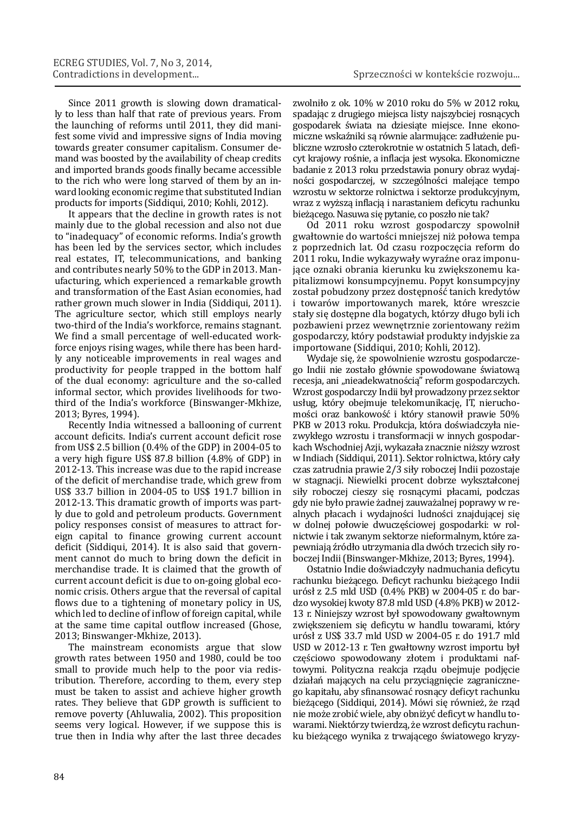Since 2011 growth is slowing down dramatically to less than half that rate of previous years. From the launching of reforms until 2011, they did manifest some vivid and impressive signs of India moving towards greater consumer capitalism. Consumer demand was boosted by the availability of cheap credits and imported brands goods finally became accessible to the rich who were long starved of them by an inward looking economic regime that substituted Indian products for imports (Siddiqui, 2010; Kohli, 2012).

It appears that the decline in growth rates is not mainly due to the global recession and also not due to "inadequacy" of economic reforms. India's growth has been led by the services sector, which includes real estates, IT, telecommunications, and banking and contributes nearly 50% to the GDP in 2013. Manufacturing, which experienced a remarkable growth and transformation of the East Asian economies, had rather grown much slower in India (Siddiqui, 2011). The agriculture sector, which still employs nearly two-third of the India's workforce, remains stagnant. We find a small percentage of well-educated workforce enjoys rising wages, while there has been hardly any noticeable improvements in real wages and productivity for people trapped in the bottom half of the dual economy: agriculture and the so-called informal sector, which provides livelihoods for twothird of the India's workforce (Binswanger-Mkhize, 2013; Byres, 1994).

Recently India witnessed a ballooning of current account deficits. India's current account deficit rose from US\$ 2.5 billion (0.4% of the GDP) in 2004-05 to a very high figure US\$ 87.8 billion (4.8% of GDP) in 2012-13. This increase was due to the rapid increase of the deficit of merchandise trade, which grew from US\$ 33.7 billion in 2004-05 to US\$ 191.7 billion in 2012-13. This dramatic growth of imports was partly due to gold and petroleum products. Government policy responses consist of measures to attract foreign capital to finance growing current account deficit (Siddiqui, 2014). It is also said that government cannot do much to bring down the deficit in merchandise trade. It is claimed that the growth of current account deficit is due to on-going global economic crisis. Others argue that the reversal of capital flows due to a tightening of monetary policy in US, which led to decline of inflow of foreign capital, while at the same time capital outflow increased (Ghose, 2013; Binswanger-Mkhize, 2013).

The mainstream economists argue that slow growth rates between 1950 and 1980, could be too small to provide much help to the poor via redistribution. Therefore, according to them, every step must be taken to assist and achieve higher growth rates. They believe that GDP growth is sufficient to remove poverty (Ahluwalia, 2002). This proposition seems very logical. However, if we suppose this is true then in India why after the last three decades

zwolniło z ok. 10% w 2010 roku do 5% w 2012 roku, spadając z drugiego miejsca listy najszybciej rosnących gospodarek świata na dziesiąte miejsce. Inne ekonomiczne wskaźniki są równie alarmujące: zadłużenie publiczne wzrosło czterokrotnie w ostatnich 5 latach, deficyt krajowy rośnie, a inflacja jest wysoka. Ekonomiczne badanie z 2013 roku przedstawia ponury obraz wydajności gospodarczej, w szczególności malejące tempo wzrostu w sektorze rolnictwa i sektorze produkcyjnym, wraz z wyższą inflacją i narastaniem deficytu rachunku bieżącego. Nasuwa się pytanie, co poszło nie tak?

Od 2011 roku wzrost gospodarczy spowolnił gwałtownie do wartości mniejszej niż połowa tempa z poprzednich lat. Od czasu rozpoczęcia reform do 2011 roku, Indie wykazywały wyraźne oraz imponujące oznaki obrania kierunku ku zwiększonemu kapitalizmowi konsumpcyjnemu. Popyt konsumpcyjny został pobudzony przez dostępność tanich kredytów i towarów importowanych marek, które wreszcie stały się dostępne dla bogatych, którzy długo byli ich pozbawieni przez wewnętrznie zorientowany reżim gospodarczy, który podstawiał produkty indyjskie za importowane (Siddiqui, 2010; Kohli, 2012).

Wydaje się, że spowolnienie wzrostu gospodarczego Indii nie zostało głównie spowodowane światową recesja, ani "nieadekwatnością" reform gospodarczych. Wzrost gospodarczy Indii był prowadzony przez sektor usług, który obejmuje telekomunikację, IT, nieruchomości oraz bankowość i który stanowił prawie 50% PKB w 2013 roku. Produkcja, która doświadczyła niezwykłego wzrostu i transformacji w innych gospodarkach Wschodniej Azji, wykazała znacznie niższy wzrost w Indiach (Siddiqui, 2011). Sektor rolnictwa, który cały czas zatrudnia prawie 2/3 siły roboczej Indii pozostaje w stagnacji. Niewielki procent dobrze wykształconej siły roboczej cieszy się rosnącymi płacami, podczas gdy nie było prawie żadnej zauważalnej poprawy w realnych płacach i wydajności ludności znajdującej się w dolnej połowie dwuczęściowej gospodarki: w rolnictwie i tak zwanym sektorze nieformalnym, które zapewniają źródło utrzymania dla dwóch trzecich siły roboczej Indii (Binswanger-Mkhize, 2013; Byres, 1994).

Ostatnio Indie doświadczyły nadmuchania deficytu rachunku bieżącego. Deficyt rachunku bieżącego Indii urósł z 2.5 mld USD (0.4% PKB) w 2004-05 r. do bardzo wysokiej kwoty 87.8 mld USD (4.8% PKB) w 2012- 13 r. Niniejszy wzrost był spowodowany gwałtownym zwiększeniem się deficytu w handlu towarami, który urósł z US\$ 33.7 mld USD w 2004-05 r. do 191.7 mld USD w 2012-13 r. Ten gwałtowny wzrost importu był częściowo spowodowany złotem i produktami naftowymi. Polityczna reakcja rządu obejmuje podjęcie działań mających na celu przyciągnięcie zagranicznego kapitału, aby sfinansować rosnący deficyt rachunku bieżącego (Siddiqui, 2014). Mówi się również, że rząd nie może zrobić wiele, aby obniżyć deficyt w handlu towarami. Niektórzy twierdzą, że wzrost deficytu rachunku bieżącego wynika z trwającego światowego kryzy-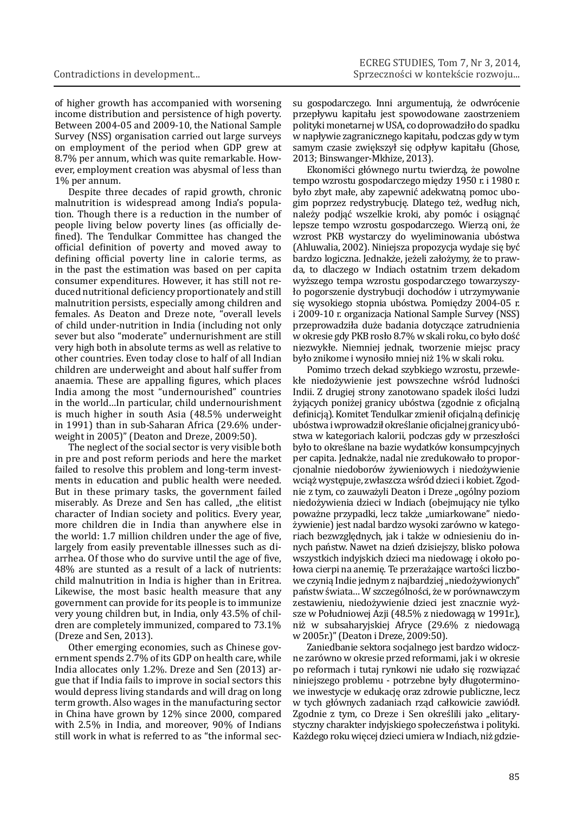of higher growth has accompanied with worsening income distribution and persistence of high poverty. Between 2004-05 and 2009-10, the National Sample Survey (NSS) organisation carried out large surveys on employment of the period when GDP grew at 8.7% per annum, which was quite remarkable. However, employment creation was abysmal of less than 1% per annum.

Despite three decades of rapid growth, chronic malnutrition is widespread among India's population. Though there is a reduction in the number of people living below poverty lines (as officially defined). The Tendulkar Committee has changed the official definition of poverty and moved away to defining official poverty line in calorie terms, as in the past the estimation was based on per capita consumer expenditures. However, it has still not reduced nutritional deficiency proportionately and still malnutrition persists, especially among children and females. As Deaton and Dreze note, "overall levels of child under-nutrition in India (including not only sever but also "moderate" undernurishment are still very high both in absolute terms as well as relative to other countries. Even today close to half of all Indian children are underweight and about half suffer from anaemia. These are appalling figures, which places India among the most "undernourished" countries in the world…In particular, child undernourishment is much higher in south Asia (48.5% underweight in 1991) than in sub-Saharan Africa (29.6% underweight in 2005)" (Deaton and Dreze, 2009:50).

The neglect of the social sector is very visible both in pre and post reform periods and here the market failed to resolve this problem and long-term investments in education and public health were needed. But in these primary tasks, the government failed miserably. As Dreze and Sen has called, "the elitist character of Indian society and politics. Every year, more children die in India than anywhere else in the world: 1.7 million children under the age of five. largely from easily preventable illnesses such as diarrhea. Of those who do survive until the age of five. 48% are stunted as a result of a lack of nutrients: child malnutrition in India is higher than in Eritrea. Likewise, the most basic health measure that any government can provide for its people is to immunize very young children but, in India, only 43.5% of children are completely immunized, compared to 73.1% (Dreze and Sen, 2013).

Other emerging economies, such as Chinese government spends 2.7% of its GDP on health care, while India allocates only 1.2%. Dreze and Sen (2013) argue that if India fails to improve in social sectors this would depress living standards and will drag on long term growth. Also wages in the manufacturing sector in China have grown by 12% since 2000, compared with 2.5% in India, and moreover, 90% of Indians still work in what is referred to as "the informal secsu gospodarczego. Inni argumentują, że odwrócenie przepływu kapitału jest spowodowane zaostrzeniem polityki monetarnej w USA, co doprowadziło do spadku w napływie zagranicznego kapitału, podczas gdy w tym samym czasie zwiększył się odpływ kapitału (Ghose, 2013; Binswanger-Mkhize, 2013).

Ekonomiści głównego nurtu twierdzą, że powolne tempo wzrostu gospodarczego między 1950 r. i 1980 r. było zbyt małe, aby zapewnić adekwatną pomoc ubogim poprzez redystrybucję. Dlatego też, według nich, należy podjąć wszelkie kroki, aby pomóc i osiągnąć lepsze tempo wzrostu gospodarczego. Wierzą oni, że wzrost PKB wystarczy do wyeliminowania ubóstwa (Ahluwalia, 2002). Niniejsza propozycja wydaje się być bardzo logiczna. Jednakże, jeżeli założymy, że to prawda, to dlaczego w Indiach ostatnim trzem dekadom wyższego tempa wzrostu gospodarczego towarzyszyło pogorszenie dystrybucji dochodów i utrzymywanie się wysokiego stopnia ubóstwa. Pomiędzy 2004-05 r. i 2009-10 r. organizacia National Sample Survey (NSS) przeprowadziła duże badania dotyczące zatrudnienia w okresie gdy PKB rosło 8.7% w skali roku, co było dość niezwykłe. Niemniej jednak, tworzenie miejsc pracy było znikome i wynosiło mniej niż 1% w skali roku.

Pomimo trzech dekad szybkiego wzrostu, przewlekłe niedożywienie jest powszechne wśród ludności Indii. Z drugiej strony zanotowano spadek ilości ludzi żyjących poniżej granicy ubóstwa (zgodnie z oficjalną definicją). Komitet Tendulkar zmienił oficjalną definicję ubóstwa i wprowadził określanie oficjalnej granicy ubóstwa w kategoriach kalorii, podczas gdy w przeszłości było to określane na bazie wydatków konsumpcyjnych per capita. Jednakże, nadal nie zredukowało to proporcjonalnie niedoborów żywieniowych i niedożywienie wciąż występuje, zwłaszcza wśród dzieci i kobiet. Zgodnie z tym, co zauważyli Deaton i Dreze "ogólny poziom niedożywienia dzieci w Indiach (obejmujący nie tylko poważne przypadki, lecz także "umiarkowane" niedożywienie) jest nadal bardzo wysoki zarówno w kategoriach bezwzględnych, jak i także w odniesieniu do innych państw. Nawet na dzień dzisiejszy, blisko połowa wszystkich indyjskich dzieci ma niedowagę i około połowa cierpi na anemię. Te przerażające wartości liczbowe czynią Indie jednym z najbardziej "niedożywionych" państw świata… W szczególności, że w porównawczym zestawieniu, niedożywienie dzieci jest znacznie wyższe w Południowej Azji (48.5% z niedowagą w 1991r.), niż w subsaharyjskiej Afryce (29.6% z niedowagą w 2005r.)" (Deaton i Dreze, 2009:50).

Zaniedbanie sektora socjalnego jest bardzo widoczne zarówno w okresie przed reformami, jak i w okresie po reformach i tutaj rynkowi nie udało się rozwiązać niniejszego problemu - potrzebne były długoterminowe inwestycje w edukację oraz zdrowie publiczne, lecz w tych głównych zadaniach rząd całkowicie zawiódł. Zgodnie z tym, co Dreze i Sen określili jako "elitarystyczny charakter indyjskiego społeczeństwa i polityki. Każdego roku więcej dzieci umiera w Indiach, niż gdzie-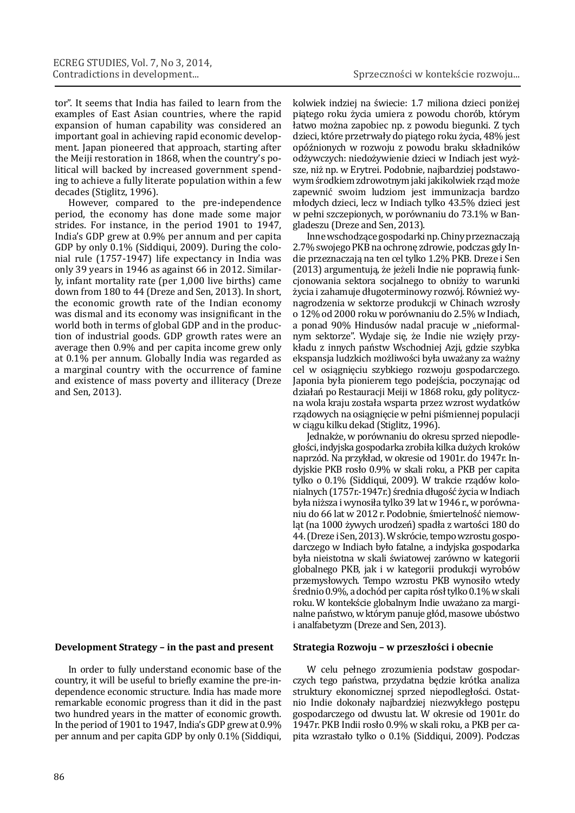tor". It seems that India has failed to learn from the examples of East Asian countries, where the rapid expansion of human capability was considered an important goal in achieving rapid economic development. Japan pioneered that approach, starting after the Meiji restoration in 1868, when the country's political will backed by increased government spending to achieve a fully literate population within a few decades (Stiglitz, 1996).

However, compared to the pre-independence period, the economy has done made some major strides. For instance, in the period 1901 to 1947, India's GDP grew at 0.9% per annum and per capita GDP by only 0.1% (Siddiqui, 2009). During the colonial rule (1757-1947) life expectancy in India was only 39 years in 1946 as against 66 in 2012. Similarly, infant mortality rate (per 1,000 live births) came down from 180 to 44 (Dreze and Sen, 2013). In short, the economic growth rate of the Indian economy was dismal and its economy was insignificant in the world both in terms of global GDP and in the production of industrial goods. GDP growth rates were an average then 0.9% and per capita income grew only at 0.1% per annum. Globally India was regarded as a marginal country with the occurrence of famine and existence of mass poverty and illiteracy (Dreze and Sen, 2013).

# **Development Strategy – in the past and present**

In order to fully understand economic base of the country, it will be useful to briefly examine the pre-independence economic structure. India has made more remarkable economic progress than it did in the past two hundred years in the matter of economic growth. In the period of 1901 to 1947, India's GDP grew at 0.9% per annum and per capita GDP by only 0.1% (Siddiqui, kolwiek indziej na świecie: 1.7 miliona dzieci poniżej piątego roku życia umiera z powodu chorób, którym łatwo można zapobiec np. z powodu biegunki. Z tych dzieci, które przetrwały do piątego roku życia, 48% jest opóźnionych w rozwoju z powodu braku składników odżywczych: niedożywienie dzieci w Indiach jest wyższe, niż np. w Erytrei. Podobnie, najbardziej podstawowym środkiem zdrowotnym jaki jakikolwiek rząd może zapewnić swoim ludziom jest immunizacja bardzo młodych dzieci, lecz w Indiach tylko 43.5% dzieci jest w pełni szczepionych, w porównaniu do 73.1% w Bangladeszu (Dreze and Sen, 2013).

Inne wschodzące gospodarki np. Chiny przeznaczają 2.7% swojego PKB na ochronę zdrowie, podczas gdy Indie przeznaczają na ten cel tylko 1.2% PKB. Dreze i Sen (2013) argumentują, że jeżeli Indie nie poprawią funkcjonowania sektora socjalnego to obniży to warunki życia i zahamuje długoterminowy rozwój. Również wynagrodzenia w sektorze produkcji w Chinach wzrosły o 12% od 2000 roku w porównaniu do 2.5% w Indiach, a ponad 90% Hindusów nadal pracuje w "nieformalnym sektorze". Wydaje się, że Indie nie wzięły przykładu z innych państw Wschodniej Azji, gdzie szybka ekspansja ludzkich możliwości była uważany za ważny cel w osiągnięciu szybkiego rozwoju gospodarczego. Japonia była pionierem tego podejścia, poczynając od działań po Restauracji Meiji w 1868 roku, gdy polityczna wola kraju została wsparta przez wzrost wydatków rządowych na osiągnięcie w pełni piśmiennej populacji w ciągu kilku dekad (Stiglitz, 1996).

Jednakże, w porównaniu do okresu sprzed niepodległości, indyjska gospodarka zrobiła kilka dużych kroków naprzód. Na przykład, w okresie od 1901r. do 1947r. Indyjskie PKB rosło 0.9% w skali roku, a PKB per capita tylko o 0.1% (Siddiqui, 2009). W trakcie rządów kolonialnych (1757r.-1947r.) średnia długość życia w Indiach była niższa i wynosiła tylko 39 lat w 1946 r., w porównaniu do 66 lat w 2012 r. Podobnie, śmiertelność niemowląt (na 1000 żywych urodzeń) spadła z wartości 180 do 44. (Dreze i Sen, 2013). W skrócie, tempo wzrostu gospodarczego w Indiach było fatalne, a indyjska gospodarka była nieistotna w skali światowej zarówno w kategorii globalnego PKB, jak i w kategorii produkcji wyrobów przemysłowych. Tempo wzrostu PKB wynosiło wtedy średnio 0.9%, a dochód per capita rósł tylko 0.1% w skali roku. W kontekście globalnym Indie uważano za marginalne państwo, w którym panuje głód, masowe ubóstwo i analfabetyzm (Dreze and Sen, 2013).

### **Strategia Rozwoju – w przeszłości i obecnie**

W celu pełnego zrozumienia podstaw gospodarczych tego państwa, przydatna będzie krótka analiza struktury ekonomicznej sprzed niepodległości. Ostatnio Indie dokonały najbardziej niezwykłego postępu gospodarczego od dwustu lat. W okresie od 1901r. do 1947r. PKB Indii rosło 0.9% w skali roku, a PKB per capita wzrastało tylko o 0.1% (Siddiqui, 2009). Podczas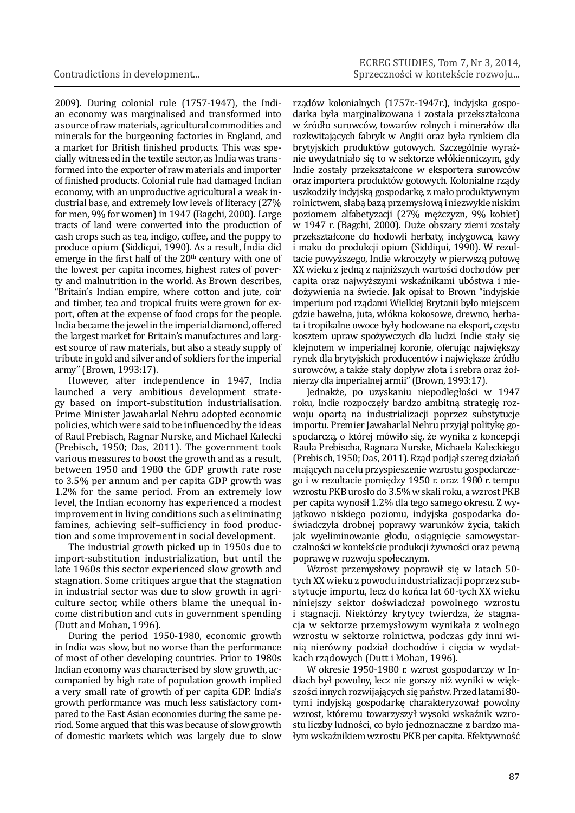2009). During colonial rule (1757-1947), the Indian economy was marginalised and transformed into a source of raw materials, agricultural commodities and minerals for the burgeoning factories in England, and a market for British finished products. This was specially witnessed in the textile sector, as India was transformed into the exporter of raw materials and importer of finished products. Colonial rule had damaged Indian economy, with an unproductive agricultural a weak industrial base, and extremely low levels of literacy (27% for men, 9% for women) in 1947 (Bagchi, 2000). Large tracts of land were converted into the production of cash crops such as tea, indigo, coffee, and the poppy to produce opium (Siddiqui, 1990). As a result, India did emerge in the first half of the  $20<sup>th</sup>$  century with one of the lowest per capita incomes, highest rates of poverty and malnutrition in the world. As Brown describes, "Britain's Indian empire, where cotton and jute, coir and timber, tea and tropical fruits were grown for export, often at the expense of food crops for the people. India became the jewel in the imperial diamond, offered the largest market for Britain's manufactures and largest source of raw materials, but also a steady supply of tribute in gold and silver and of soldiers for the imperial army" (Brown, 1993:17).

However, after independence in 1947, India launched a very ambitious development strategy based on import-substitution industrialisation. Prime Minister Jawaharlal Nehru adopted economic policies, which were said to be influenced by the ideas of Raul Prebisch, Ragnar Nurske, and Michael Kalecki (Prebisch, 1950; Das, 2011). The government took various measures to boost the growth and as a result, between 1950 and 1980 the GDP growth rate rose to 3.5% per annum and per capita GDP growth was 1.2% for the same period. From an extremely low level, the Indian economy has experienced a modest improvement in living conditions such as eliminating famines, achieving self-sufficiency in food production and some improvement in social development.

The industrial growth picked up in 1950s due to import-substitution industrialization, but until the late 1960s this sector experienced slow growth and stagnation. Some critiques argue that the stagnation in industrial sector was due to slow growth in agriculture sector, while others blame the unequal income distribution and cuts in government spending (Dutt and Mohan, 1996).

During the period 1950-1980, economic growth in India was slow, but no worse than the performance of most of other developing countries. Prior to 1980s Indian economy was characterised by slow growth, accompanied by high rate of population growth implied a very small rate of growth of per capita GDP. India's growth performance was much less satisfactory compared to the East Asian economies during the same period. Some argued that this was because of slow growth of domestic markets which was largely due to slow

rządów kolonialnych (1757r.-1947r.), indyjska gospodarka była marginalizowana i została przekształcona w źródło surowców, towarów rolnych i minerałów dla rozkwitających fabryk w Anglii oraz była rynkiem dla brytyjskich produktów gotowych. Szczególnie wyraźnie uwydatniało się to w sektorze włókienniczym, gdy Indie zostały przekształcone w eksportera surowców oraz importera produktów gotowych. Kolonialne rządy uszkodziły indyjską gospodarkę, z mało produktywnym rolnictwem, słabą bazą przemysłową i niezwykle niskim poziomem alfabetyzacji (27% mężczyzn, 9% kobiet) w 1947 r. (Bagchi, 2000). Duże obszary ziemi zostały przekształcone do hodowli herbaty, indygowca, kawy i maku do produkcji opium (Siddiqui, 1990). W rezultacie powyższego, Indie wkroczyły w pierwszą połowę XX wieku z jedną z najniższych wartości dochodów per capita oraz najwyższymi wskaźnikami ubóstwa i niedożywienia na świecie. Jak opisał to Brown "indyjskie imperium pod rządami Wielkiej Brytanii było miejscem gdzie bawełna, juta, włókna kokosowe, drewno, herbata i tropikalne owoce były hodowane na eksport, często kosztem upraw spożywczych dla ludzi. Indie stały się klejnotem w imperialnej koronie, oferując największy rynek dla brytyjskich producentów i największe źródło surowców, a także stały dopływ złota i srebra oraz żołnierzy dla imperialnej armii" (Brown, 1993:17).

Jednakże, po uzyskaniu niepodległości w 1947 roku, Indie rozpoczęły bardzo ambitną strategię rozwoju opartą na industrializacji poprzez substytucje importu. Premier Jawaharlal Nehru przyjął politykę gospodarczą, o której mówiło się, że wynika z koncepcji Raula Prebischa, Ragnara Nurske, Michaela Kaleckiego (Prebisch, 1950; Das, 2011). Rząd podjął szereg działań mających na celu przyspieszenie wzrostu gospodarczego i w rezultacie pomiędzy 1950 r. oraz 1980 r. tempo wzrostu PKB urosło do 3.5% w skali roku, a wzrost PKB per capita wynosił 1.2% dla tego samego okresu. Z wyjątkowo niskiego poziomu, indyjska gospodarka doświadczyła drobnej poprawy warunków życia, takich jak wyeliminowanie głodu, osiągnięcie samowystarczalności w kontekście produkcji żywności oraz pewną poprawę w rozwoju społecznym.

Wzrost przemysłowy poprawił się w latach 50 tych XX wieku z powodu industrializacji poprzez substytucje importu, lecz do końca lat 60-tych XX wieku niniejszy sektor doświadczał powolnego wzrostu i stagnacji. Niektórzy krytycy twierdza, że stagnacja w sektorze przemysłowym wynikała z wolnego wzrostu w sektorze rolnictwa, podczas gdy inni winią nierówny podział dochodów i cięcia w wydatkach rządowych (Dutt i Mohan, 1996).

W okresie 1950-1980 r. wzrost gospodarczy w Indiach był powolny, lecz nie gorszy niż wyniki w większości innych rozwijających się państw. Przed latami 80 tymi indyjską gospodarkę charakteryzował powolny wzrost, któremu towarzyszył wysoki wskaźnik wzrostu liczby ludności, co było jednoznaczne z bardzo małym wskaźnikiem wzrostu PKB per capita. Efektywność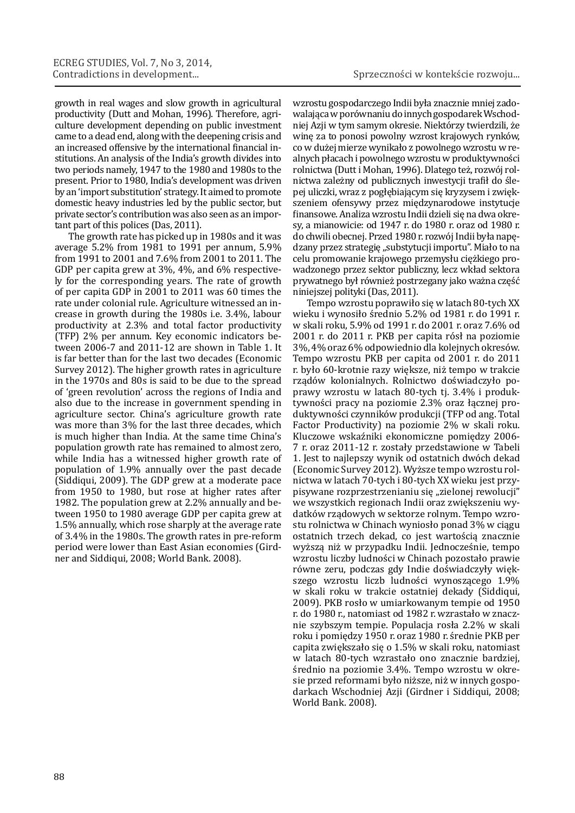growth in real wages and slow growth in agricultural productivity (Dutt and Mohan, 1996). Therefore, agriculture development depending on public investment came to a dead end, along with the deepening crisis and an increased offensive by the international financial institutions. An analysis of the India's growth divides into two periods namely, 1947 to the 1980 and 1980s to the present. Prior to 1980, India's development was driven by an 'import substitution' strategy. It aimed to promote domestic heavy industries led by the public sector, but private sector's contribution was also seen as an important part of this polices (Das, 2011).

The growth rate has picked up in 1980s and it was average 5.2% from 1981 to 1991 per annum, 5.9% from 1991 to 2001 and 7.6% from 2001 to 2011. The GDP per capita grew at 3%, 4%, and 6% respectively for the corresponding years. The rate of growth of per capita GDP in 2001 to 2011 was 60 times the rate under colonial rule. Agriculture witnessed an increase in growth during the 1980s i.e. 3.4%, labour productivity at 2.3% and total factor productivity (TFP) 2% per annum. Key economic indicators between 2006-7 and 2011-12 are shown in Table 1. It is far better than for the last two decades (Economic Survey 2012). The higher growth rates in agriculture in the 1970s and 80s is said to be due to the spread of 'green revolution' across the regions of India and also due to the increase in government spending in agriculture sector. China's agriculture growth rate was more than 3% for the last three decades, which is much higher than India. At the same time China's population growth rate has remained to almost zero, while India has a witnessed higher growth rate of population of 1.9% annually over the past decade (Siddiqui, 2009). The GDP grew at a moderate pace from 1950 to 1980, but rose at higher rates after 1982. The population grew at 2.2% annually and between 1950 to 1980 average GDP per capita grew at 1.5% annually, which rose sharply at the average rate of 3.4% in the 1980s. The growth rates in pre-reform period were lower than East Asian economies (Girdner and Siddiqui, 2008; World Bank. 2008).

wzrostu gospodarczego Indii była znacznie mniej zadowalająca w porównaniu do innych gospodarek Wschodniej Azji w tym samym okresie. Niektórzy twierdzili, że winę za to ponosi powolny wzrost krajowych rynków, co w dużej mierze wynikało z powolnego wzrostu w realnych płacach i powolnego wzrostu w produktywności rolnictwa (Dutt i Mohan, 1996). Dlatego też, rozwój rolnictwa zależny od publicznych inwestycji trafił do ślepej uliczki, wraz z pogłębiającym się kryzysem i zwiększeniem ofensywy przez międzynarodowe instytucje finansowe. Analiza wzrostu Indii dzieli się na dwa okresy, a mianowicie: od 1947 r. do 1980 r. oraz od 1980 r. do chwili obecnej. Przed 1980 r. rozwój Indii była napędzany przez strategię "substytucji importu". Miało to na celu promowanie krajowego przemysłu ciężkiego prowadzonego przez sektor publiczny, lecz wkład sektora prywatnego był również postrzegany jako ważna część niniejszej polityki (Das, 2011).

Tempo wzrostu poprawiło się w latach 80-tych XX wieku i wynosiło średnio 5.2% od 1981 r. do 1991 r. w skali roku, 5.9% od 1991 r. do 2001 r. oraz 7.6% od 2001 r. do 2011 r. PKB per capita rósł na poziomie 3%, 4% oraz 6% odpowiednio dla kolejnych okresów. Tempo wzrostu PKB per capita od 2001 r. do 2011 r. było 60-krotnie razy większe, niż tempo w trakcie rządów kolonialnych. Rolnictwo doświadczyło poprawy wzrostu w latach 80-tych tj. 3.4% i produktywności pracy na poziomie 2.3% oraz łącznej produktywności czynników produkcji (TFP od ang. Total Factor Productivity) na poziomie 2% w skali roku. Kluczowe wskaźniki ekonomiczne pomiędzy 2006- 7 r. oraz 2011-12 r. zostały przedstawione w Tabeli 1. Jest to najlepszy wynik od ostatnich dwóch dekad (Economic Survey 2012). Wyższe tempo wzrostu rolnictwa w latach 70-tych i 80-tych XX wieku jest przypisywane rozprzestrzenianiu się "zielonej rewolucji" we wszystkich regionach Indii oraz zwiększeniu wydatków rządowych w sektorze rolnym. Tempo wzrostu rolnictwa w Chinach wyniosło ponad 3% w ciągu ostatnich trzech dekad, co jest wartością znacznie wyższą niż w przypadku Indii. Jednocześnie, tempo wzrostu liczby ludności w Chinach pozostało prawie równe zeru, podczas gdy Indie doświadczyły większego wzrostu liczb ludności wynoszącego 1.9% w skali roku w trakcie ostatniej dekady (Siddiqui, 2009). PKB rosło w umiarkowanym tempie od 1950 r. do 1980 r., natomiast od 1982 r. wzrastało w znacznie szybszym tempie. Populacja rosła 2.2% w skali roku i pomiędzy 1950 r. oraz 1980 r. średnie PKB per capita zwiększało się o 1.5% w skali roku, natomiast w latach 80-tych wzrastało ono znacznie bardziej, średnio na poziomie 3.4%. Tempo wzrostu w okresie przed reformami było niższe, niż w innych gospodarkach Wschodniej Azji (Girdner i Siddiqui, 2008; World Bank. 2008).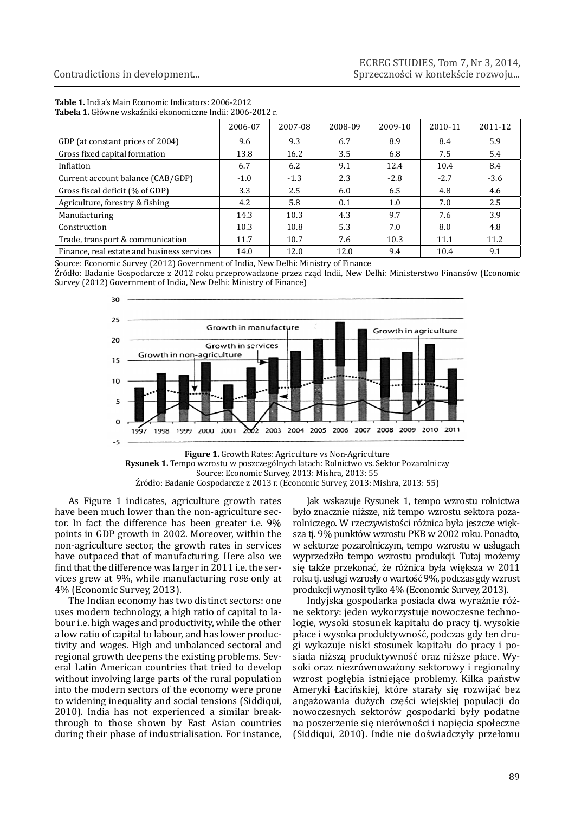| Tubelu II divinit wandanini chonomicant mulli 2000 2012 h |         |         |         |         |         |         |  |  |  |  |  |
|-----------------------------------------------------------|---------|---------|---------|---------|---------|---------|--|--|--|--|--|
|                                                           | 2006-07 | 2007-08 | 2008-09 | 2009-10 | 2010-11 | 2011-12 |  |  |  |  |  |
| GDP (at constant prices of 2004)                          | 9.6     | 9.3     | 6.7     | 8.9     | 8.4     | 5.9     |  |  |  |  |  |
| Gross fixed capital formation                             | 13.8    | 16.2    | 3.5     | 6.8     | 7.5     | 5.4     |  |  |  |  |  |
| Inflation                                                 | 6.7     | 6.2     | 9.1     | 12.4    | 10.4    | 8.4     |  |  |  |  |  |
| Current account balance (CAB/GDP)                         | $-1.0$  | $-1.3$  | 2.3     | $-2.8$  | $-2.7$  | $-3.6$  |  |  |  |  |  |
| Gross fiscal deficit (% of GDP)                           | 3.3     | 2.5     | 6.0     | 6.5     | 4.8     | 4.6     |  |  |  |  |  |
| Agriculture, forestry & fishing                           | 4.2     | 5.8     | 0.1     | 1.0     | 7.0     | 2.5     |  |  |  |  |  |
| Manufacturing                                             | 14.3    | 10.3    | 4.3     | 9.7     | 7.6     | 3.9     |  |  |  |  |  |
| Construction                                              | 10.3    | 10.8    | 5.3     | 7.0     | 8.0     | 4.8     |  |  |  |  |  |
| Trade, transport & communication                          | 11.7    | 10.7    | 7.6     | 10.3    | 11.1    | 11.2    |  |  |  |  |  |
| Finance, real estate and business services                | 14.0    | 12.0    | 12.0    | 9.4     | 10.4    | 9.1     |  |  |  |  |  |

**Table 1.** India's Main Economic Indicators: 2006-2012 **Tabela 1.** Główne wskaźniki ekonomiczne Indii: 2006-2012 r.

Source: Economic Survey (2012) Government of India, New Delhi: Ministry of Finance

Źródło: Badanie Gospodarcze z 2012 roku przeprowadzone przez rząd Indii, New Delhi: Ministerstwo Finansów (Economic Survey (2012) Government of India, New Delhi: Ministry of Finance)





As Figure 1 indicates, agriculture growth rates have been much lower than the non-agriculture sector. In fact the difference has been greater i.e. 9% points in GDP growth in 2002. Moreover, within the non-agriculture sector, the growth rates in services have outpaced that of manufacturing. Here also we find that the difference was larger in 2011 i.e. the services grew at 9%, while manufacturing rose only at 4% (Economic Survey, 2013).

The Indian economy has two distinct sectors: one uses modern technology, a high ratio of capital to labour i.e. high wages and productivity, while the other a low ratio of capital to labour, and has lower productivity and wages. High and unbalanced sectoral and regional growth deepens the existing problems. Several Latin American countries that tried to develop without involving large parts of the rural population into the modern sectors of the economy were prone to widening inequality and social tensions (Siddiqui, 2010). India has not experienced a similar breakthrough to those shown by East Asian countries during their phase of industrialisation. For instance,

Jak wskazuje Rysunek 1, tempo wzrostu rolnictwa było znacznie niższe, niż tempo wzrostu sektora pozarolniczego. W rzeczywistości różnica była jeszcze większa tj. 9% punktów wzrostu PKB w 2002 roku. Ponadto, w sektorze pozarolniczym, tempo wzrostu w usługach wyprzedziło tempo wzrostu produkcji. Tutaj możemy się także przekonać, że różnica była większa w 2011 roku tj. usługi wzrosły o wartość 9%, podczas gdy wzrost produkcji wynosił tylko 4% (Economic Survey, 2013).

Indyjska gospodarka posiada dwa wyraźnie różne sektory: jeden wykorzystuje nowoczesne technologie, wysoki stosunek kapitału do pracy tj. wysokie płace i wysoka produktywność, podczas gdy ten drugi wykazuje niski stosunek kapitału do pracy i posiada niższą produktywność oraz niższe płace. Wysoki oraz niezrównoważony sektorowy i regionalny wzrost pogłębia istniejące problemy. Kilka państw Ameryki Łacińskiej, które starały się rozwijać bez angażowania dużych części wiejskiej populacji do nowoczesnych sektorów gospodarki były podatne na poszerzenie się nierówności i napięcia społeczne (Siddiqui, 2010). Indie nie doświadczyły przełomu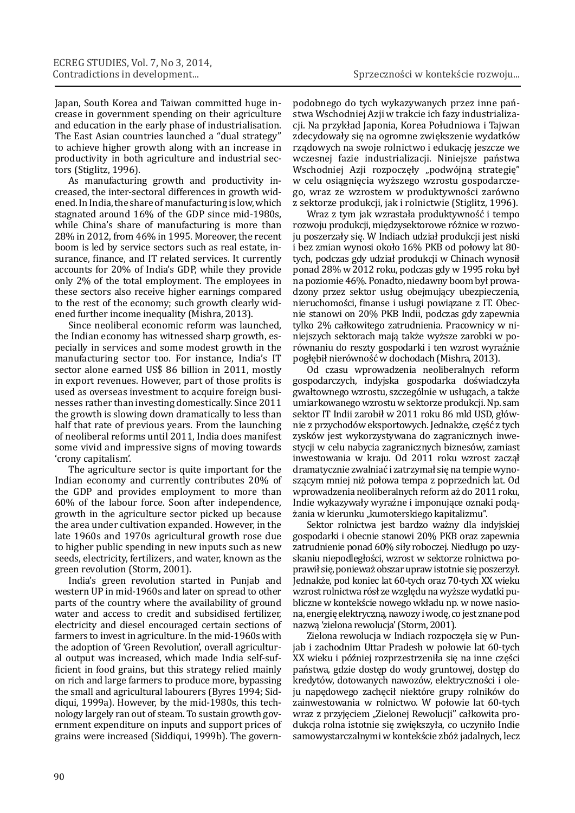Japan, South Korea and Taiwan committed huge increase in government spending on their agriculture and education in the early phase of industrialisation. The East Asian countries launched a "dual strategy" to achieve higher growth along with an increase in productivity in both agriculture and industrial sectors (Stiglitz, 1996).

As manufacturing growth and productivity increased, the inter-sectoral differences in growth widened. In India, the share of manufacturing is low, which stagnated around 16% of the GDP since mid-1980s, while China's share of manufacturing is more than 28% in 2012, from 46% in 1995. Moreover, the recent boom is led by service sectors such as real estate, insurance, finance, and IT related services. It currently accounts for 20% of India's GDP, while they provide only 2% of the total employment. The employees in these sectors also receive higher earnings compared to the rest of the economy; such growth clearly widened further income inequality (Mishra, 2013).

Since neoliberal economic reform was launched, the Indian economy has witnessed sharp growth, especially in services and some modest growth in the manufacturing sector too. For instance, India's IT sector alone earned US\$ 86 billion in 2011, mostly in export revenues. However, part of those profits is used as overseas investment to acquire foreign businesses rather than investing domestically. Since 2011 the growth is slowing down dramatically to less than half that rate of previous years. From the launching of neoliberal reforms until 2011, India does manifest some vivid and impressive signs of moving towards 'crony capitalism'.

The agriculture sector is quite important for the Indian economy and currently contributes 20% of the GDP and provides employment to more than 60% of the labour force. Soon after independence, growth in the agriculture sector picked up because the area under cultivation expanded. However, in the late 1960s and 1970s agricultural growth rose due to higher public spending in new inputs such as new seeds, electricity, fertilizers, and water, known as the green revolution (Storm, 2001).

India's green revolution started in Punjab and western UP in mid-1960s and later on spread to other parts of the country where the availability of ground water and access to credit and subsidised fertilizer, electricity and diesel encouraged certain sections of farmers to invest in agriculture. In the mid-1960s with the adoption of 'Green Revolution', overall agricultural output was increased, which made India self-sufficient in food grains, but this strategy relied mainly on rich and large farmers to produce more, bypassing the small and agricultural labourers (Byres 1994; Siddiqui, 1999a). However, by the mid-1980s, this technology largely ran out of steam. To sustain growth government expenditure on inputs and support prices of grains were increased (Siddiqui, 1999b). The govern-

podobnego do tych wykazywanych przez inne państwa Wschodniej Azji w trakcie ich fazy industrializacji. Na przykład Japonia, Korea Południowa i Tajwan zdecydowały się na ogromne zwiększenie wydatków rządowych na swoje rolnictwo i edukację jeszcze we wczesnej fazie industrializacji. Niniejsze państwa Wschodniej Azji rozpoczęły "podwójną strategię" w celu osiągnięcia wyższego wzrostu gospodarczego, wraz ze wzrostem w produktywności zarówno z sektorze produkcji, jak i rolnictwie (Stiglitz, 1996).

Wraz z tym jak wzrastała produktywność i tempo rozwoju produkcji, międzysektorowe różnice w rozwoju poszerzały się. W Indiach udział produkcji jest niski i bez zmian wynosi około 16% PKB od połowy lat 80 tych, podczas gdy udział produkcji w Chinach wynosił ponad 28% w 2012 roku, podczas gdy w 1995 roku był na poziomie 46%. Ponadto, niedawny boom był prowadzony przez sektor usług obejmujący ubezpieczenia, nieruchomości, finanse i usługi powiązane z IT. Obecnie stanowi on 20% PKB Indii, podczas gdy zapewnia tylko 2% całkowitego zatrudnienia. Pracownicy w niniejszych sektorach mają także wyższe zarobki w porównaniu do reszty gospodarki i ten wzrost wyraźnie pogłębił nierówność w dochodach (Mishra, 2013).

Od czasu wprowadzenia neoliberalnych reform gospodarczych, indyjska gospodarka doświadczyła gwałtownego wzrostu, szczególnie w usługach, a także umiarkowanego wzrostu w sektorze produkcji. Np. sam sektor IT Indii zarobił w 2011 roku 86 mld USD, głównie z przychodów eksportowych. Jednakże, część z tych zysków jest wykorzystywana do zagranicznych inwestycji w celu nabycia zagranicznych biznesów, zamiast inwestowania w kraju. Od 2011 roku wzrost zaczął dramatycznie zwalniać i zatrzymał się na tempie wynoszącym mniej niż połowa tempa z poprzednich lat. Od wprowadzenia neoliberalnych reform aż do 2011 roku, Indie wykazywały wyraźne i imponujące oznaki podążania w kierunku "kumoterskiego kapitalizmu".

Sektor rolnictwa jest bardzo ważny dla indyjskiej gospodarki i obecnie stanowi 20% PKB oraz zapewnia zatrudnienie ponad 60% siły roboczej. Niedługo po uzyskaniu niepodległości, wzrost w sektorze rolnictwa poprawił się, ponieważ obszar upraw istotnie się poszerzył. Jednakże, pod koniec lat 60-tych oraz 70-tych XX wieku wzrost rolnictwa rósł ze względu na wyższe wydatki publiczne w kontekście nowego wkładu np. w nowe nasiona, energię elektryczną, nawozy i wodę, co jest znane pod nazwą 'zielona rewolucja' (Storm, 2001).

Zielona rewolucja w Indiach rozpoczęła się w Punjab i zachodnim Uttar Pradesh w połowie lat 60-tych XX wieku i później rozprzestrzeniła się na inne części państwa, gdzie dostęp do wody gruntowej, dostęp do kredytów, dotowanych nawozów, elektryczności i oleju napędowego zachęcił niektóre grupy rolników do zainwestowania w rolnictwo. W połowie lat 60-tych wraz z przyjęciem "Zielonej Rewolucji" całkowita produkcja rolna istotnie się zwiększyła, co uczyniło Indie samowystarczalnymi w kontekście zbóż jadalnych, lecz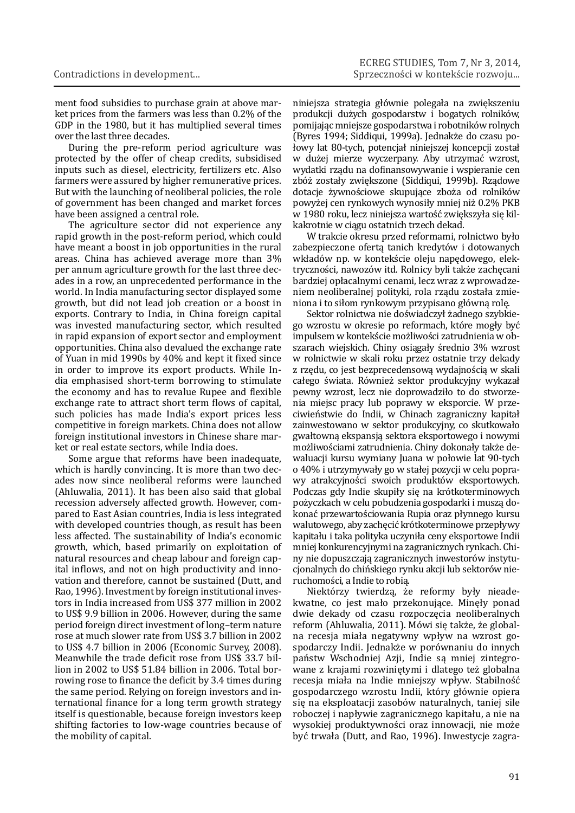ment food subsidies to purchase grain at above market prices from the farmers was less than 0.2% of the GDP in the 1980, but it has multiplied several times over the last three decades.

During the pre-reform period agriculture was protected by the offer of cheap credits, subsidised inputs such as diesel, electricity, fertilizers etc. Also farmers were assured by higher remunerative prices. But with the launching of neoliberal policies, the role of government has been changed and market forces have been assigned a central role.

The agriculture sector did not experience any rapid growth in the post-reform period, which could have meant a boost in job opportunities in the rural areas. China has achieved average more than 3% per annum agriculture growth for the last three decades in a row, an unprecedented performance in the world. In India manufacturing sector displayed some growth, but did not lead job creation or a boost in exports. Contrary to India, in China foreign capital was invested manufacturing sector, which resulted in rapid expansion of export sector and employment opportunities. China also devalued the exchange rate of Yuan in mid 1990s by 40% and kept it fixed since in order to improve its export products. While India emphasised short-term borrowing to stimulate the economy and has to revalue Rupee and flexible exchange rate to attract short term flows of capital, such policies has made India's export prices less competitive in foreign markets. China does not allow foreign institutional investors in Chinese share market or real estate sectors, while India does.

Some argue that reforms have been inadequate, which is hardly convincing. It is more than two decades now since neoliberal reforms were launched (Ahluwalia, 2011). It has been also said that global recession adversely affected growth. However, compared to East Asian countries, India is less integrated with developed countries though, as result has been less affected. The sustainability of India's economic growth, which, based primarily on exploitation of natural resources and cheap labour and foreign capital inflows, and not on high productivity and innovation and therefore, cannot be sustained (Dutt, and Rao, 1996). Investment by foreign institutional investors in India increased from US\$ 377 million in 2002 to US\$ 9.9 billion in 2006. However, during the same period foreign direct investment of long–term nature rose at much slower rate from US\$ 3.7 billion in 2002 to US\$ 4.7 billion in 2006 (Economic Survey, 2008). Meanwhile the trade deficit rose from US\$ 33.7 billion in 2002 to US\$ 51.84 billion in 2006. Total borrowing rose to finance the deficit by 3.4 times during the same period. Relying on foreign investors and international finance for a long term growth strategy itself is questionable, because foreign investors keep shifting factories to low-wage countries because of the mobility of capital.

niniejsza strategia głównie polegała na zwiększeniu produkcji dużych gospodarstw i bogatych rolników, pomijając mniejsze gospodarstwa i robotników rolnych (Byres 1994; Siddiqui, 1999a). Jednakże do czasu połowy lat 80-tych, potencjał niniejszej koncepcji został w dużej mierze wyczerpany. Aby utrzymać wzrost, wydatki rządu na dofinansowywanie i wspieranie cen zbóż zostały zwiększone (Siddiqui, 1999b). Rządowe dotacje żywnościowe skupujące zboża od rolników powyżej cen rynkowych wynosiły mniej niż 0.2% PKB w 1980 roku, lecz niniejsza wartość zwiększyła się kilkakrotnie w ciągu ostatnich trzech dekad.

W trakcie okresu przed reformami, rolnictwo było zabezpieczone ofertą tanich kredytów i dotowanych wkładów np. w kontekście oleju napędowego, elektryczności, nawozów itd. Rolnicy byli także zachęcani bardziej opłacalnymi cenami, lecz wraz z wprowadzeniem neoliberalnej polityki, rola rządu została zmieniona i to siłom rynkowym przypisano główną rolę.

Sektor rolnictwa nie doświadczył żadnego szybkiego wzrostu w okresie po reformach, które mogły być impulsem w kontekście możliwości zatrudnienia w obszarach wiejskich. Chiny osiągały średnio 3% wzrost w rolnictwie w skali roku przez ostatnie trzy dekady z rzędu, co jest bezprecedensową wydajnością w skali całego świata. Również sektor produkcyjny wykazał pewny wzrost, lecz nie doprowadziło to do stworzenia miejsc pracy lub poprawy w eksporcie. W przeciwieństwie do Indii, w Chinach zagraniczny kapitał zainwestowano w sektor produkcyjny, co skutkowało gwałtowną ekspansją sektora eksportowego i nowymi możliwościami zatrudnienia. Chiny dokonały także dewaluacji kursu wymiany Juana w połowie lat 90-tych o 40% i utrzymywały go w stałej pozycji w celu poprawy atrakcyjności swoich produktów eksportowych. Podczas gdy Indie skupiły się na krótkoterminowych pożyczkach w celu pobudzenia gospodarki i muszą dokonać przewartościowania Rupia oraz płynnego kursu walutowego, aby zachęcić krótkoterminowe przepływy kapitału i taka polityka uczyniła ceny eksportowe Indii mniej konkurencyjnymi na zagranicznych rynkach. Chiny nie dopuszczają zagranicznych inwestorów instytucjonalnych do chińskiego rynku akcji lub sektorów nieruchomości, a Indie to robią.

Niektórzy twierdzą, że reformy były nieadekwatne, co jest mało przekonujące. Minęły ponad dwie dekady od czasu rozpoczęcia neoliberalnych reform (Ahluwalia, 2011). Mówi się także, że globalna recesja miała negatywny wpływ na wzrost gospodarczy Indii. Jednakże w porównaniu do innych państw Wschodniej Azji, Indie są mniej zintegrowane z krajami rozwiniętymi i dlatego też globalna recesja miała na Indie mniejszy wpływ. Stabilność gospodarczego wzrostu Indii, który głównie opiera się na eksploatacji zasobów naturalnych, taniej sile roboczej i napływie zagranicznego kapitału, a nie na wysokiej produktywności oraz innowacji, nie może być trwała (Dutt, and Rao, 1996). Inwestycje zagra-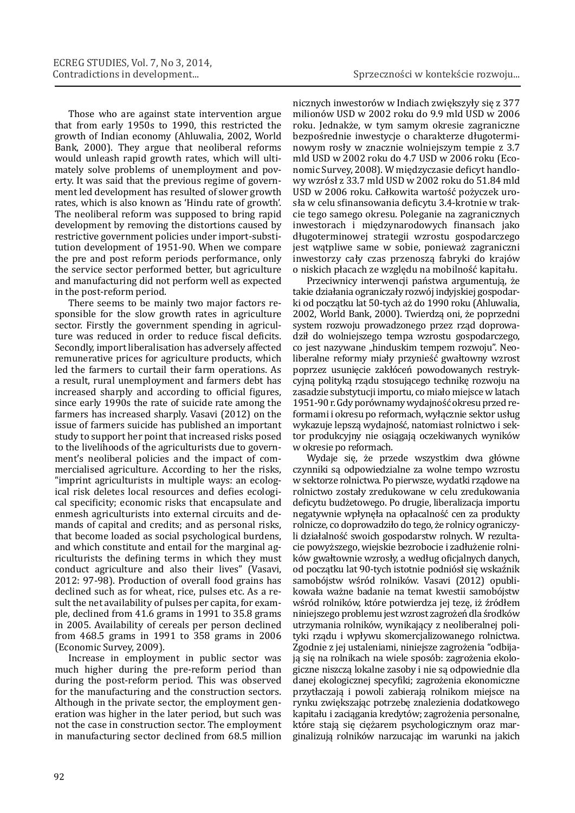Those who are against state intervention argue that from early 1950s to 1990, this restricted the growth of Indian economy (Ahluwalia, 2002, World Bank, 2000). They argue that neoliberal reforms would unleash rapid growth rates, which will ultimately solve problems of unemployment and poverty. It was said that the previous regime of government led development has resulted of slower growth rates, which is also known as 'Hindu rate of growth'. The neoliberal reform was supposed to bring rapid development by removing the distortions caused by restrictive government policies under import-substitution development of 1951-90. When we compare the pre and post reform periods performance, only the service sector performed better, but agriculture and manufacturing did not perform well as expected in the post-reform period.

There seems to be mainly two major factors responsible for the slow growth rates in agriculture sector. Firstly the government spending in agriculture was reduced in order to reduce fiscal deficits. Secondly, import liberalisation has adversely affected remunerative prices for agriculture products, which led the farmers to curtail their farm operations. As a result, rural unemployment and farmers debt has increased sharply and according to official figures, since early 1990s the rate of suicide rate among the farmers has increased sharply. Vasavi (2012) on the issue of farmers suicide has published an important study to support her point that increased risks posed to the livelihoods of the agriculturists due to government's neoliberal policies and the impact of commercialised agriculture. According to her the risks, "imprint agriculturists in multiple ways: an ecological risk deletes local resources and defies ecological specificity; economic risks that encapsulate and enmesh agriculturists into external circuits and demands of capital and credits; and as personal risks, that become loaded as social psychological burdens, and which constitute and entail for the marginal agriculturists the defining terms in which they must conduct agriculture and also their lives" (Vasavi, 2012: 97-98). Production of overall food grains has declined such as for wheat, rice, pulses etc. As a result the net availability of pulses per capita, for example, declined from 41.6 grams in 1991 to 35.8 grams in 2005. Availability of cereals per person declined from 468.5 grams in 1991 to 358 grams in 2006 (Economic Survey, 2009).

Increase in employment in public sector was much higher during the pre-reform period than during the post-reform period. This was observed for the manufacturing and the construction sectors. Although in the private sector, the employment generation was higher in the later period, but such was not the case in construction sector. The employment in manufacturing sector declined from 68.5 million

nicznych inwestorów w Indiach zwiększyły się z 377 milionów USD w 2002 roku do 9.9 mld USD w 2006 roku. Jednakże, w tym samym okresie zagraniczne bezpośrednie inwestycje o charakterze długoterminowym rosły w znacznie wolniejszym tempie z 3.7 mld USD w 2002 roku do 4.7 USD w 2006 roku (Economic Survey, 2008). W międzyczasie deficyt handlowy wzrósł z 33.7 mld USD w 2002 roku do 51.84 mld USD w 2006 roku. Całkowita wartość pożyczek urosła w celu sfinansowania deficytu 3.4-krotnie w trakcie tego samego okresu. Poleganie na zagranicznych inwestorach i międzynarodowych finansach jako długoterminowej strategii wzrostu gospodarczego jest wątpliwe same w sobie, ponieważ zagraniczni inwestorzy cały czas przenoszą fabryki do krajów o niskich płacach ze względu na mobilność kapitału.

Przeciwnicy interwencji państwa argumentują, że takie działania ograniczały rozwój indyjskiej gospodarki od początku lat 50-tych aż do 1990 roku (Ahluwalia, 2002, World Bank, 2000). Twierdzą oni, że poprzedni system rozwoju prowadzonego przez rząd doprowadził do wolniejszego tempa wzrostu gospodarczego, co jest nazywane "hinduskim tempem rozwoju". Neoliberalne reformy miały przynieść gwałtowny wzrost poprzez usunięcie zakłóceń powodowanych restrykcyjną polityką rządu stosującego technikę rozwoju na zasadzie substytucji importu, co miało miejsce w latach 1951-90 r. Gdy porównamy wydajność okresu przed reformami i okresu po reformach, wyłącznie sektor usług wykazuje lepszą wydajność, natomiast rolnictwo i sektor produkcyjny nie osiągają oczekiwanych wyników w okresie po reformach.

Wydaje się, że przede wszystkim dwa główne czynniki są odpowiedzialne za wolne tempo wzrostu w sektorze rolnictwa. Po pierwsze, wydatki rządowe na rolnictwo zostały zredukowane w celu zredukowania deficytu budżetowego. Po drugie, liberalizacja importu negatywnie wpłynęła na opłacalność cen za produkty rolnicze, co doprowadziło do tego, że rolnicy ograniczyli działalność swoich gospodarstw rolnych. W rezultacie powyższego, wiejskie bezrobocie i zadłużenie rolników gwałtownie wzrosły, a według oficjalnych danych, od początku lat 90-tych istotnie podniósł się wskaźnik samobójstw wśród rolników. Vasavi (2012) opublikowała ważne badanie na temat kwestii samobójstw wśród rolników, które potwierdza jej tezę, iż źródłem niniejszego problemu jest wzrost zagrożeń dla środków utrzymania rolników, wynikający z neoliberalnej polityki rządu i wpływu skomercjalizowanego rolnictwa. Zgodnie z jej ustaleniami, niniejsze zagrożenia "odbijają się na rolnikach na wiele sposób: zagrożenia ekologiczne niszczą lokalne zasoby i nie są odpowiednie dla danej ekologicznej specyfiki; zagrożenia ekonomiczne przytłaczają i powoli zabierają rolnikom miejsce na rynku zwiększając potrzebę znalezienia dodatkowego kapitału i zaciągania kredytów; zagrożenia personalne, które stają się ciężarem psychologicznym oraz marginalizują rolników narzucając im warunki na jakich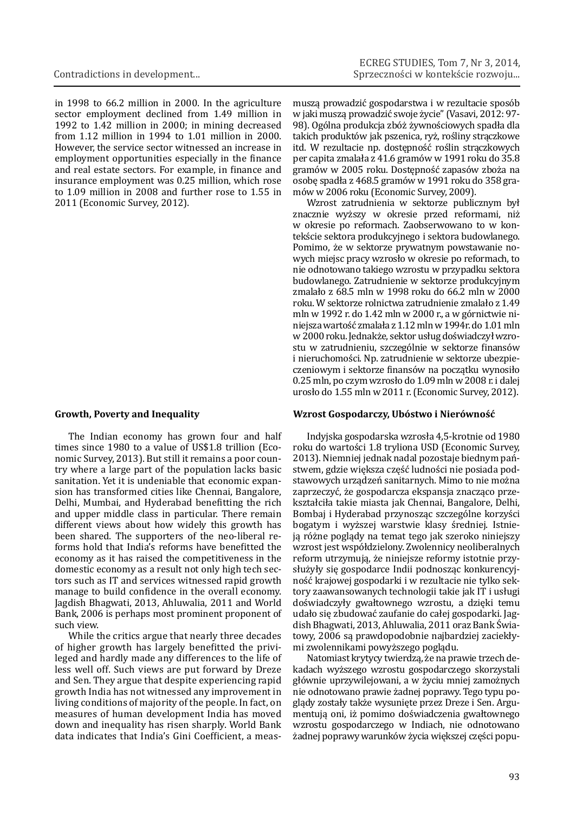in 1998 to 66.2 million in 2000. In the agriculture sector employment declined from 1.49 million in 1992 to 1.42 million in 2000; in mining decreased from 1.12 million in 1994 to 1.01 million in 2000. However, the service sector witnessed an increase in employment opportunities especially in the finance and real estate sectors. For example, in finance and insurance employment was 0.25 million, which rose to 1.09 million in 2008 and further rose to 1.55 in 2011 (Economic Survey, 2012).

#### **Growth, Poverty and Inequality**

The Indian economy has grown four and half times since 1980 to a value of US\$1.8 trillion (Economic Survey, 2013). But still it remains a poor country where a large part of the population lacks basic sanitation. Yet it is undeniable that economic expansion has transformed cities like Chennai, Bangalore, Delhi, Mumbai, and Hyderabad benefitting the rich and upper middle class in particular. There remain different views about how widely this growth has been shared. The supporters of the neo-liberal reforms hold that India's reforms have benefitted the economy as it has raised the competitiveness in the domestic economy as a result not only high tech sectors such as IT and services witnessed rapid growth manage to build confidence in the overall economy. Jagdish Bhagwati, 2013, Ahluwalia, 2011 and World Bank, 2006 is perhaps most prominent proponent of such view.

While the critics argue that nearly three decades of higher growth has largely benefitted the privileged and hardly made any differences to the life of less well off. Such views are put forward by Dreze and Sen. They argue that despite experiencing rapid growth India has not witnessed any improvement in living conditions of majority of the people. In fact, on measures of human development India has moved down and inequality has risen sharply. World Bank data indicates that India's Gini Coefficient, a measmuszą prowadzić gospodarstwa i w rezultacie sposób w jaki muszą prowadzić swoje życie" (Vasavi, 2012: 97- 98). Ogólna produkcja zbóż żywnościowych spadła dla takich produktów jak pszenica, ryż, rośliny strączkowe itd. W rezultacie np. dostępność roślin strączkowych per capita zmalała z 41.6 gramów w 1991 roku do 35.8 gramów w 2005 roku. Dostępność zapasów zboża na osobę spadła z 468.5 gramów w 1991 roku do 358 gramów w 2006 roku (Economic Survey, 2009).

Wzrost zatrudnienia w sektorze publicznym był znacznie wyższy w okresie przed reformami, niż w okresie po reformach. Zaobserwowano to w kontekście sektora produkcyjnego i sektora budowlanego. Pomimo, że w sektorze prywatnym powstawanie nowych miejsc pracy wzrosło w okresie po reformach, to nie odnotowano takiego wzrostu w przypadku sektora budowlanego. Zatrudnienie w sektorze produkcyjnym zmalało z 68.5 mln w 1998 roku do 66.2 mln w 2000 roku. W sektorze rolnictwa zatrudnienie zmalało z 1.49 mln w 1992 r. do 1.42 mln w 2000 r., a w górnictwie niniejsza wartość zmalała z 1.12 mln w 1994r. do 1.01 mln w 2000 roku. Jednakże, sektor usług doświadczył wzrostu w zatrudnieniu, szczególnie w sektorze finansów i nieruchomości. Np. zatrudnienie w sektorze ubezpieczeniowym i sektorze finansów na początku wynosiło 0.25 mln, po czym wzrosło do 1.09 mln w 2008 r. i dalej urosło do 1.55 mln w 2011 r. (Economic Survey, 2012).

### **Wzrost Gospodarczy, Ubóstwo i Nierówność**

Indyjska gospodarska wzrosła 4,5-krotnie od 1980 roku do wartości 1.8 tryliona USD (Economic Survey, 2013). Niemniej jednak nadal pozostaje biednym państwem, gdzie większa część ludności nie posiada podstawowych urządzeń sanitarnych. Mimo to nie można zaprzeczyć, że gospodarcza ekspansja znacząco przekształciła takie miasta jak Chennai, Bangalore, Delhi, Bombaj i Hyderabad przynosząc szczególne korzyści bogatym i wyższej warstwie klasy średniej. Istnieją różne poglądy na temat tego jak szeroko niniejszy wzrost jest współdzielony. Zwolennicy neoliberalnych reform utrzymują, że niniejsze reformy istotnie przysłużyły się gospodarce Indii podnosząc konkurencyjność krajowej gospodarki i w rezultacie nie tylko sektory zaawansowanych technologii takie jak IT i usługi doświadczyły gwałtownego wzrostu, a dzięki temu udało się zbudować zaufanie do całej gospodarki. Jagdish Bhagwati, 2013, Ahluwalia, 2011 oraz Bank Światowy, 2006 są prawdopodobnie najbardziej zaciekłymi zwolennikami powyższego poglądu.

Natomiast krytycy twierdzą, że na prawie trzech dekadach wyższego wzrostu gospodarczego skorzystali głównie uprzywilejowani, a w życiu mniej zamożnych nie odnotowano prawie żadnej poprawy. Tego typu poglądy zostały także wysunięte przez Dreze i Sen. Argumentują oni, iż pomimo doświadczenia gwałtownego wzrostu gospodarczego w Indiach, nie odnotowano żadnej poprawy warunków życia większej części popu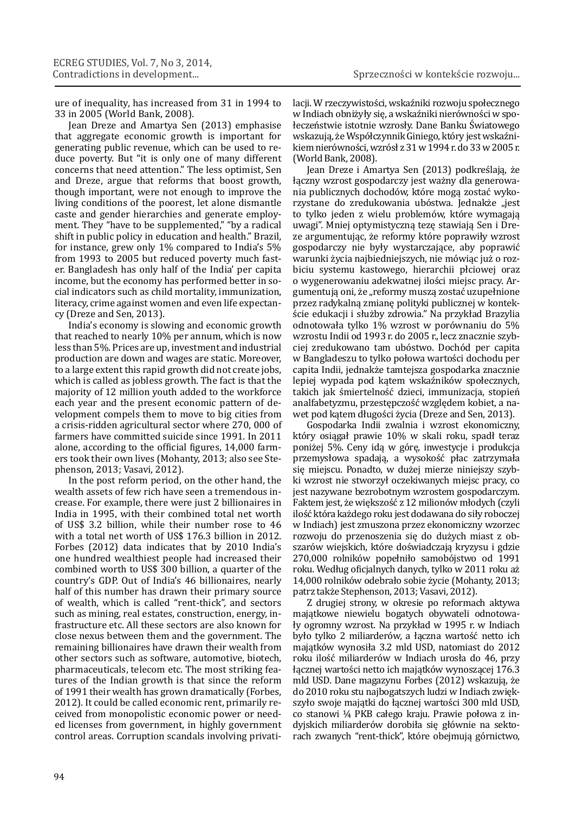ure of inequality, has increased from 31 in 1994 to 33 in 2005 (World Bank, 2008).

Jean Dreze and Amartya Sen (2013) emphasise that aggregate economic growth is important for generating public revenue, which can be used to reduce poverty. But "it is only one of many different concerns that need attention." The less optimist, Sen and Dreze, argue that reforms that boost growth, though important, were not enough to improve the living conditions of the poorest, let alone dismantle caste and gender hierarchies and generate employment. They "have to be supplemented," "by a radical shift in public policy in education and health." Brazil, for instance, grew only 1% compared to India's 5% from 1993 to 2005 but reduced poverty much faster. Bangladesh has only half of the India' per capita income, but the economy has performed better in social indicators such as child mortality, immunization, literacy, crime against women and even life expectancy (Dreze and Sen, 2013).

India's economy is slowing and economic growth that reached to nearly 10% per annum, which is now less than 5%. Prices are up, investment and industrial production are down and wages are static. Moreover, to a large extent this rapid growth did not create jobs, which is called as jobless growth. The fact is that the majority of 12 million youth added to the workforce each year and the present economic pattern of development compels them to move to big cities from a crisis-ridden agricultural sector where 270, 000 of farmers have committed suicide since 1991. In 2011 alone, according to the official figures, 14,000 farmers took their own lives (Mohanty, 2013; also see Stephenson, 2013; Vasavi, 2012).

In the post reform period, on the other hand, the wealth assets of few rich have seen a tremendous increase. For example, there were just 2 billionaires in India in 1995, with their combined total net worth of US\$ 3.2 billion, while their number rose to 46 with a total net worth of US\$ 176.3 billion in 2012. Forbes (2012) data indicates that by 2010 India's one hundred wealthiest people had increased their combined worth to US\$ 300 billion, a quarter of the country's GDP. Out of India's 46 billionaires, nearly half of this number has drawn their primary source of wealth, which is called "rent-thick", and sectors such as mining, real estates, construction, energy, infrastructure etc. All these sectors are also known for close nexus between them and the government. The remaining billionaires have drawn their wealth from other sectors such as software, automotive, biotech, pharmaceuticals, telecom etc. The most striking features of the Indian growth is that since the reform of 1991 their wealth has grown dramatically (Forbes, 2012). It could be called economic rent, primarily received from monopolistic economic power or needed licenses from government, in highly government control areas. Corruption scandals involving privatilacji. W rzeczywistości, wskaźniki rozwoju społecznego w Indiach obniżyły się, a wskaźniki nierówności w społeczeństwie istotnie wzrosły. Dane Banku Światowego wskazują, że Współczynnik Giniego, który jest wskaźnikiem nierówności, wzrósł z 31 w 1994 r. do 33 w 2005 r. (World Bank, 2008).

Jean Dreze i Amartya Sen (2013) podkreślają, że łączny wzrost gospodarczy jest ważny dla generowania publicznych dochodów, które mogą zostać wykorzystane do zredukowania ubóstwa. Jednakże "jest to tylko jeden z wielu problemów, które wymagają uwagi". Mniej optymistyczną tezę stawiają Sen i Dreze argumentując, że reformy które poprawiły wzrost gospodarczy nie były wystarczające, aby poprawić warunki życia najbiedniejszych, nie mówiąc już o rozbiciu systemu kastowego, hierarchii płciowej oraz o wygenerowaniu adekwatnej ilości miejsc pracy. Argumentują oni, że "reformy muszą zostać uzupełnione przez radykalną zmianę polityki publicznej w kontekście edukacji i służby zdrowia." Na przykład Brazylia odnotowała tylko 1% wzrost w porównaniu do 5% wzrostu Indii od 1993 r. do 2005 r., lecz znacznie szybciej zredukowano tam ubóstwo. Dochód per capita w Bangladeszu to tylko połowa wartości dochodu per capita Indii, jednakże tamtejsza gospodarka znacznie lepiej wypada pod kątem wskaźników społecznych, takich jak śmiertelność dzieci, immunizacja, stopień analfabetyzmu, przestępczość względem kobiet, a nawet pod kątem długości życia (Dreze and Sen, 2013).

Gospodarka Indii zwalnia i wzrost ekonomiczny, który osiągał prawie 10% w skali roku, spadł teraz poniżej 5%. Ceny idą w górę, inwestycje i produkcja przemysłowa spadają, a wysokość płac zatrzymała się miejscu. Ponadto, w dużej mierze niniejszy szybki wzrost nie stworzył oczekiwanych miejsc pracy, co jest nazywane bezrobotnym wzrostem gospodarczym. Faktem jest, że większość z 12 milionów młodych (czyli ilość która każdego roku jest dodawana do siły roboczej w Indiach) jest zmuszona przez ekonomiczny wzorzec rozwoju do przenoszenia się do dużych miast z obszarów wiejskich, które doświadczają kryzysu i gdzie 270,000 rolników popełniło samobójstwo od 1991 roku. Według oficjalnych danych, tylko w 2011 roku aż 14,000 rolników odebrało sobie życie (Mohanty, 2013; patrz także Stephenson, 2013; Vasavi, 2012).

Z drugiej strony, w okresie po reformach aktywa majątkowe niewielu bogatych obywateli odnotowały ogromny wzrost. Na przykład w 1995 r. w Indiach było tylko 2 miliarderów, a łączna wartość netto ich majątków wynosiła 3.2 mld USD, natomiast do 2012 roku ilość miliarderów w Indiach urosła do 46, przy łącznej wartości netto ich majątków wynoszącej 176.3 mld USD. Dane magazynu Forbes (2012) wskazują, że do 2010 roku stu najbogatszych ludzi w Indiach zwiększyło swoje majątki do łącznej wartości 300 mld USD, co stanowi ¼ PKB całego kraju. Prawie połowa z indyjskich miliarderów dorobiła się głównie na sektorach zwanych "rent-thick", które obejmują górnictwo,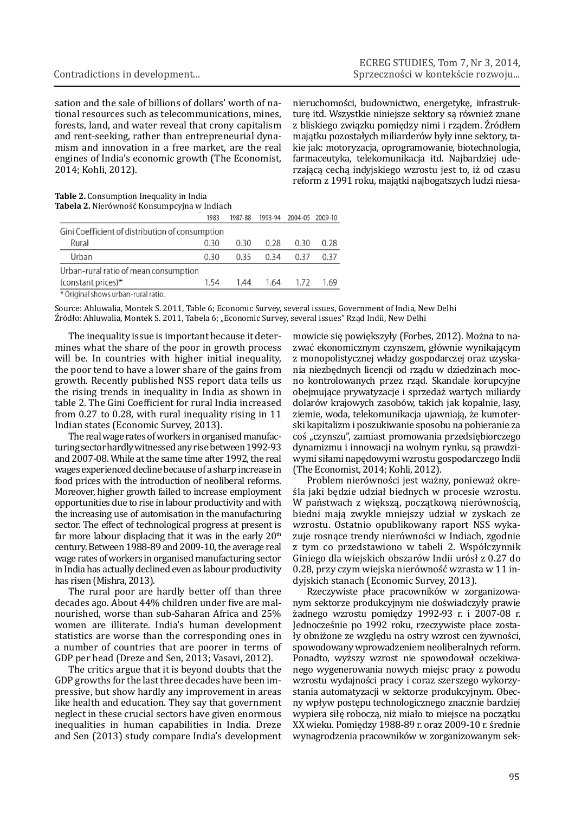sation and the sale of billions of dollars' worth of national resources such as telecommunications, mines, forests, land, and water reveal that crony capitalism and rent-seeking, rather than entrepreneurial dynamism and innovation in a free market, are the real engines of India's economic growth (The Economist, 2014; Kohli, 2012).

nieruchomości, budownictwo, energetykę, infrastrukturę itd. Wszystkie niniejsze sektory są również znane z bliskiego związku pomiędzy nimi i rządem. Źródłem majątku pozostałych miliarderów były inne sektory, takie jak: motoryzacja, oprogramowanie, biotechnologia, farmaceutyka, telekomunikacja itd. Najbardziej uderzającą cechą indyjskiego wzrostu jest to, iż od czasu reform z 1991 roku, majątki najbogatszych ludzi niesa-

### **Table 2.** Consumption Inequality in India **Tabela 2.** Nierówność Konsumpcyjna w Indiach

|                                                 | 1983 | 1987-88 | 1993-94 | 2004-05 2009-10 |      |
|-------------------------------------------------|------|---------|---------|-----------------|------|
| Gini Coefficient of distribution of consumption |      |         |         |                 |      |
| Rural                                           | 0.30 | 0.30    | 0.28    | 0.30            | 0.28 |
| Urban                                           | 0.30 | 0.35    | 0.34    | 0.37            | 0.37 |
| Urban-rural ratio of mean consumption           |      |         |         |                 |      |
| (constant prices)*                              | 1.54 | 1.44    | 1.64    | 1.72            | 1.69 |

\* Original shows urban-rural ratio.

Source: Ahluwalia, Montek S. 2011, Table 6; Economic Survey, several issues, Government of India, New Delhi Źródło: Ahluwalia, Montek S. 2011, Tabela 6; "Economic Survey, several issues" Rząd Indii, New Delhi

The inequality issue is important because it determines what the share of the poor in growth process will be. In countries with higher initial inequality, the poor tend to have a lower share of the gains from growth. Recently published NSS report data tells us the rising trends in inequality in India as shown in table 2. The Gini Coefficient for rural India increased from 0.27 to 0.28, with rural inequality rising in 11 Indian states (Economic Survey, 2013).

The real wage rates of workers in organised manufacturing sector hardly witnessed any rise between 1992-93 and 2007-08. While at the same time after 1992, the real wages experienced decline because of a sharp increase in food prices with the introduction of neoliberal reforms. Moreover, higher growth failed to increase employment opportunities due to rise in labour productivity and with the increasing use of automisation in the manufacturing sector. The effect of technological progress at present is far more labour displacing that it was in the early  $20<sup>th</sup>$ century. Between 1988-89 and 2009-10, the average real wage rates of workers in organised manufacturing sector in India has actually declined even as labour productivity has risen (Mishra, 2013).

The rural poor are hardly better off than three decades ago. About 44% children under five are malnourished, worse than sub-Saharan Africa and 25% women are illiterate. India's human development statistics are worse than the corresponding ones in a number of countries that are poorer in terms of GDP per head (Dreze and Sen, 2013; Vasavi, 2012).

The critics argue that it is beyond doubts that the GDP growths for the last three decades have been impressive, but show hardly any improvement in areas like health and education. They say that government neglect in these crucial sectors have given enormous inequalities in human capabilities in India. Dreze and Sen (2013) study compare India's development

mowicie się powiększyły (Forbes, 2012). Można to nazwać ekonomicznym czynszem, głównie wynikającym z monopolistycznej władzy gospodarczej oraz uzyskania niezbędnych licencji od rządu w dziedzinach mocno kontrolowanych przez rząd. Skandale korupcyjne obejmujące prywatyzacje i sprzedaż wartych miliardy dolarów krajowych zasobów, takich jak kopalnie, lasy, ziemie, woda, telekomunikacja ujawniają, że kumoterski kapitalizm i poszukiwanie sposobu na pobieranie za coś "czynszu", zamiast promowania przedsiębiorczego dynamizmu i innowacji na wolnym rynku, są prawdziwymi siłami napędowymi wzrostu gospodarczego Indii (The Economist, 2014; Kohli, 2012).

Problem nierówności jest ważny, ponieważ określa jaki będzie udział biednych w procesie wzrostu. W państwach z większą, początkową nierównością, biedni mają zwykle mniejszy udział w zyskach ze wzrostu. Ostatnio opublikowany raport NSS wykazuje rosnące trendy nierówności w Indiach, zgodnie z tym co przedstawiono w tabeli 2. Współczynnik Giniego dla wiejskich obszarów Indii urósł z 0.27 do 0.28, przy czym wiejska nierówność wzrasta w 11 indyjskich stanach (Economic Survey, 2013).

Rzeczywiste płace pracowników w zorganizowanym sektorze produkcyjnym nie doświadczyły prawie żadnego wzrostu pomiędzy 1992-93 r. i 2007-08 r. Jednocześnie po 1992 roku, rzeczywiste płace zostały obniżone ze względu na ostry wzrost cen żywności, spowodowany wprowadzeniem neoliberalnych reform. Ponadto, wyższy wzrost nie spowodował oczekiwanego wygenerowania nowych miejsc pracy z powodu wzrostu wydajności pracy i coraz szerszego wykorzystania automatyzacji w sektorze produkcyjnym. Obecny wpływ postępu technologicznego znacznie bardziej wypiera siłę roboczą, niż miało to miejsce na początku XX wieku. Pomiędzy 1988-89 r. oraz 2009-10 r. średnie wynagrodzenia pracowników w zorganizowanym sek-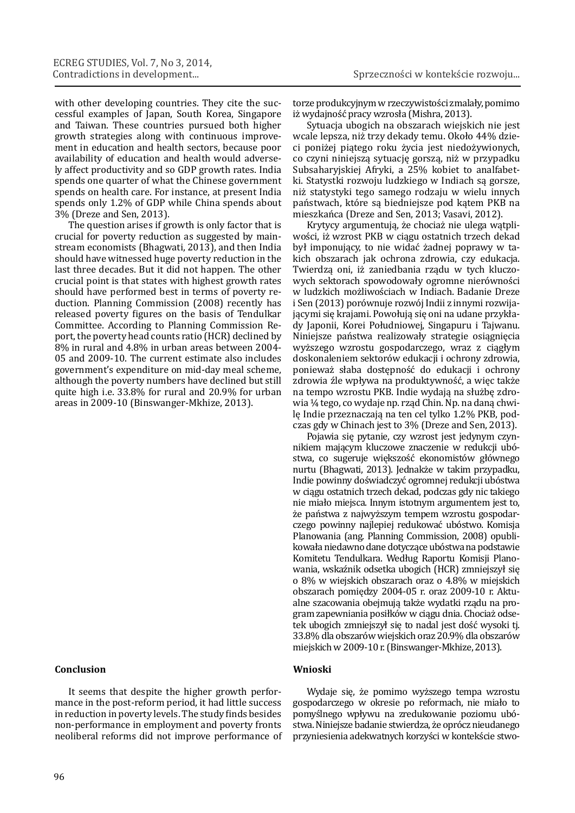with other developing countries. They cite the successful examples of Japan, South Korea, Singapore and Taiwan. These countries pursued both higher growth strategies along with continuous improvement in education and health sectors, because poor availability of education and health would adversely affect productivity and so GDP growth rates. India spends one quarter of what the Chinese government spends on health care. For instance, at present India spends only 1.2% of GDP while China spends about 3% (Dreze and Sen, 2013).

The question arises if growth is only factor that is crucial for poverty reduction as suggested by mainstream economists (Bhagwati, 2013), and then India should have witnessed huge poverty reduction in the last three decades. But it did not happen. The other crucial point is that states with highest growth rates should have performed best in terms of poverty reduction. Planning Commission (2008) recently has released poverty figures on the basis of Tendulkar Committee. According to Planning Commission Report, the poverty head counts ratio (HCR) declined by 8% in rural and 4.8% in urban areas between 2004- 05 and 2009-10. The current estimate also includes government's expenditure on mid-day meal scheme, although the poverty numbers have declined but still quite high i.e. 33.8% for rural and 20.9% for urban areas in 2009-10 (Binswanger-Mkhize, 2013).

# **Conclusion**

It seems that despite the higher growth performance in the post-reform period, it had little success in reduction in poverty levels. The study finds besides non-performance in employment and poverty fronts neoliberal reforms did not improve performance of torze produkcyjnym w rzeczywistości zmalały, pomimo iż wydajność pracy wzrosła (Mishra, 2013).

Sytuacja ubogich na obszarach wiejskich nie jest wcale lepsza, niż trzy dekady temu. Około 44% dzieci poniżej piątego roku życia jest niedożywionych, co czyni niniejszą sytuację gorszą, niż w przypadku Subsaharyjskiej Afryki, a 25% kobiet to analfabetki. Statystki rozwoju ludzkiego w Indiach są gorsze, niż statystyki tego samego rodzaju w wielu innych państwach, które są biedniejsze pod kątem PKB na mieszkańca (Dreze and Sen, 2013; Vasavi, 2012).

Krytycy argumentują, że chociaż nie ulega wątpliwości, iż wzrost PKB w ciągu ostatnich trzech dekad był imponujący, to nie widać żadnej poprawy w takich obszarach jak ochrona zdrowia, czy edukacja. Twierdzą oni, iż zaniedbania rządu w tych kluczowych sektorach spowodowały ogromne nierówności w ludzkich możliwościach w Indiach. Badanie Dreze i Sen (2013) porównuje rozwój Indii z innymi rozwijającymi się krajami. Powołują się oni na udane przykłady Japonii, Korei Południowej, Singapuru i Tajwanu. Niniejsze państwa realizowały strategie osiągnięcia wyższego wzrostu gospodarczego, wraz z ciągłym doskonaleniem sektorów edukacji i ochrony zdrowia, ponieważ słaba dostępność do edukacji i ochrony zdrowia źle wpływa na produktywność, a więc także na tempo wzrostu PKB. Indie wydają na służbę zdrowia ¼ tego, co wydaje np. rząd Chin. Np. na daną chwilę Indie przeznaczają na ten cel tylko 1.2% PKB, podczas gdy w Chinach jest to 3% (Dreze and Sen, 2013).

Pojawia się pytanie, czy wzrost jest jedynym czynnikiem mającym kluczowe znaczenie w redukcji ubóstwa, co sugeruje większość ekonomistów głównego nurtu (Bhagwati, 2013). Jednakże w takim przypadku, Indie powinny doświadczyć ogromnej redukcji ubóstwa w ciągu ostatnich trzech dekad, podczas gdy nic takiego nie miało miejsca. Innym istotnym argumentem jest to, że państwa z najwyższym tempem wzrostu gospodarczego powinny najlepiej redukować ubóstwo. Komisja Planowania (ang. Planning Commission, 2008) opublikowała niedawno dane dotyczące ubóstwa na podstawie Komitetu Tendulkara. Według Raportu Komisji Planowania, wskaźnik odsetka ubogich (HCR) zmniejszył się o 8% w wiejskich obszarach oraz o 4.8% w miejskich obszarach pomiędzy 2004-05 r. oraz 2009-10 r. Aktualne szacowania obejmują także wydatki rządu na program zapewniania posiłków w ciągu dnia. Chociaż odsetek ubogich zmniejszył się to nadal jest dość wysoki tj. 33.8% dla obszarów wiejskich oraz 20.9% dla obszarów miejskich w 2009-10 r. (Binswanger-Mkhize, 2013).

## **Wnioski**

Wydaje się, że pomimo wyższego tempa wzrostu gospodarczego w okresie po reformach, nie miało to pomyślnego wpływu na zredukowanie poziomu ubóstwa. Niniejsze badanie stwierdza, że oprócz nieudanego przyniesienia adekwatnych korzyści w kontekście stwo-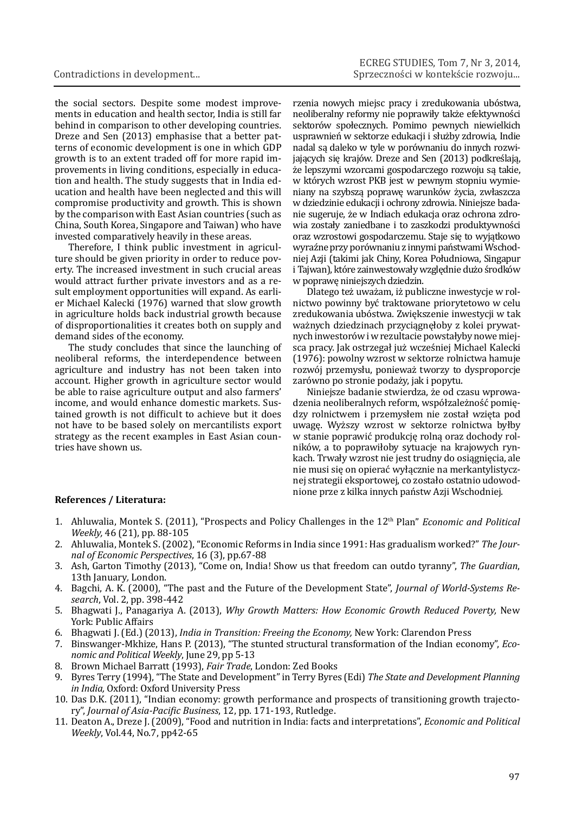the social sectors. Despite some modest improvements in education and health sector, India is still far behind in comparison to other developing countries. Dreze and Sen (2013) emphasise that a better patterns of economic development is one in which GDP growth is to an extent traded off for more rapid improvements in living conditions, especially in education and health. The study suggests that in India education and health have been neglected and this will compromise productivity and growth. This is shown by the comparison with East Asian countries (such as China, South Korea, Singapore and Taiwan) who have invested comparatively heavily in these areas.

Therefore, I think public investment in agriculture should be given priority in order to reduce poverty. The increased investment in such crucial areas would attract further private investors and as a result employment opportunities will expand. As earlier Michael Kalecki (1976) warned that slow growth in agriculture holds back industrial growth because of disproportionalities it creates both on supply and demand sides of the economy.

The study concludes that since the launching of neoliberal reforms, the interdependence between agriculture and industry has not been taken into account. Higher growth in agriculture sector would be able to raise agriculture output and also farmers' income, and would enhance domestic markets. Sustained growth is not difficult to achieve but it does not have to be based solely on mercantilists export strategy as the recent examples in East Asian countries have shown us.

rzenia nowych miejsc pracy i zredukowania ubóstwa, neoliberalny reformy nie poprawiły także efektywności sektorów społecznych. Pomimo pewnych niewielkich usprawnień w sektorze edukacji i służby zdrowia, Indie nadal są daleko w tyle w porównaniu do innych rozwijających się krajów. Dreze and Sen (2013) podkreślają, że lepszymi wzorcami gospodarczego rozwoju są takie, w których wzrost PKB jest w pewnym stopniu wymieniany na szybszą poprawę warunków życia, zwłaszcza w dziedzinie edukacji i ochrony zdrowia. Niniejsze badanie sugeruje, że w Indiach edukacja oraz ochrona zdrowia zostały zaniedbane i to zaszkodzi produktywności oraz wzrostowi gospodarczemu. Staje się to wyjątkowo wyraźne przy porównaniu z innymi państwami Wschodniej Azji (takimi jak Chiny, Korea Południowa, Singapur i Tajwan), które zainwestowały względnie dużo środków w poprawę niniejszych dziedzin.

Dlatego też uważam, iż publiczne inwestycje w rolnictwo powinny być traktowane priorytetowo w celu zredukowania ubóstwa. Zwiększenie inwestycji w tak ważnych dziedzinach przyciągnęłoby z kolei prywatnych inwestorów i w rezultacie powstałyby nowe miejsca pracy. Jak ostrzegał już wcześniej Michael Kalecki (1976): powolny wzrost w sektorze rolnictwa hamuje rozwój przemysłu, ponieważ tworzy to dysproporcje zarówno po stronie podaży, jak i popytu.

Niniejsze badanie stwierdza, że od czasu wprowadzenia neoliberalnych reform, współzależność pomiędzy rolnictwem i przemysłem nie został wzięta pod uwagę. Wyższy wzrost w sektorze rolnictwa byłby w stanie poprawić produkcję rolną oraz dochody rolników, a to poprawiłoby sytuacje na krajowych rynkach. Trwały wzrost nie jest trudny do osiągnięcia, ale nie musi się on opierać wyłącznie na merkantylistycznej strategii eksportowej, co zostało ostatnio udowodnione prze z kilka innych państw Azji Wschodniej. **References / Literatura:**

- 1. Ahluwalia, Montek S. (2011), "Prospects and Policy Challenges in the 12th Plan" *Economic and Political Weekly,* 46 (21), pp. 88-105
- 2. Ahluwalia, Montek S. (2002), "Economic Reforms in India since 1991: Has gradualism worked?" *The Journal of Economic Perspectives*, 16 (3), pp.67-88
- 3. Ash, Garton Timothy (2013), "Come on, India! Show us that freedom can outdo tyranny", *The Guardian*, 13th January*,* London.
- 4. Bagchi, A. K. (2000), "The past and the Future of the Development State", *Journal of World-Systems Research*, Vol. 2, pp. 398-442
- 5. Bhagwati J., Panagariya A. (2013), *Why Growth Matters: How Economic Growth Reduced Poverty,* New York: Public Affairs
- 6. Bhagwati J. (Ed.) (2013), *India in Transition: Freeing the Economy,* New York: Clarendon Press
- 7. Binswanger-Mkhize, Hans P. (2013), "The stunted structural transformation of the Indian economy", *Economic and Political Weekly*, June 29, pp 5-13
- 8. Brown Michael Barratt (1993), *Fair Trade*, London: Zed Books
- 9. Byres Terry (1994), "The State and Development" in Terry Byres (Edi) *The State and Development Planning in India,* Oxford: Oxford University Press
- 10. Das D.K. (2011), "Indian economy: growth performance and prospects of transitioning growth trajectory", *Journal of Asia-Paciϔic Business*, 12, pp. 171-193, Rutledge.
- 11. Deaton A., Dreze J. (2009), "Food and nutrition in India: facts and interpretations", *Economic and Political Weekly*, Vol.44, No.7, pp42-65